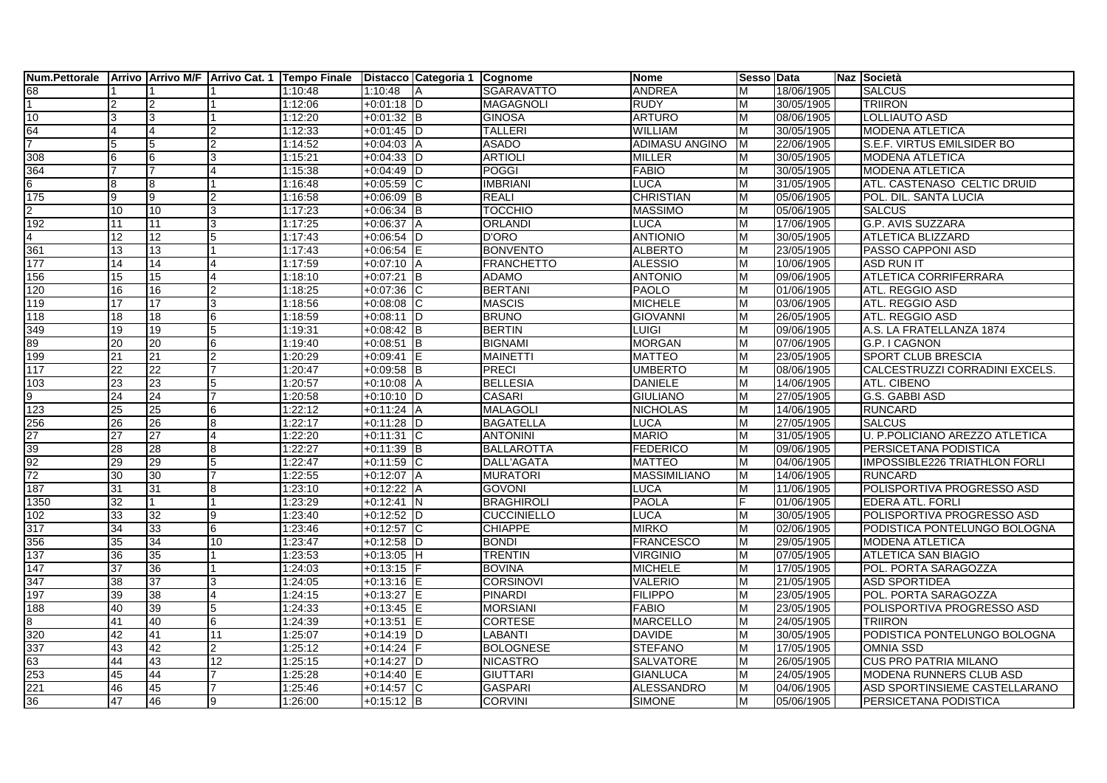|                             |                 |    |                         |         | Num.Pettorale Arrivo Arrivo M/F Arrivo Cat. 1 Tempo Finale Distacco Categoria 1 Cognome |                    | <b>Nome</b>         | Sesso Data |            | Naz Società                          |
|-----------------------------|-----------------|----|-------------------------|---------|-----------------------------------------------------------------------------------------|--------------------|---------------------|------------|------------|--------------------------------------|
| 68<br>1                     |                 |    |                         | 1:10:48 | 1:10:48                                                                                 | <b>SGARAVATTO</b>  | <b>ANDREA</b>       | м          | 18/06/1905 | <b>SALCUS</b>                        |
|                             |                 |    |                         | 1:12:06 | $+0:01:18$ D                                                                            | <b>MAGAGNOLI</b>   | <b>RUDY</b>         | M          | 30/05/1905 | <b>TRIIRON</b>                       |
| 10                          | 3               | 3  |                         | 1:12:20 | $+0:01:32$ B                                                                            | <b>GINOSA</b>      | <b>ARTURO</b>       | М          | 08/06/1905 | LOLLIAUTO ASD                        |
| $\frac{64}{7}$              | 4               |    | $\overline{2}$          | 1:12:33 | $+0:01:45$ D                                                                            | <b>TALLERI</b>     | <b>WILLIAM</b>      | м          | 30/05/1905 | <b>MODENA ATLETICA</b>               |
|                             | 5               | 5  | $\mathfrak{p}$          | 1:14:52 | $+0.04:03$ A                                                                            | <b>ASADO</b>       | ADIMASU ANGINO      | M          | 22/06/1905 | S.E.F. VIRTUS EMILSIDER BO           |
| 308                         | 6               | l6 | 3                       | 1:15:21 | $+0:04:33$ D                                                                            | <b>ARTIOLI</b>     | <b>MILLER</b>       | M          | 30/05/1905 | <b>MODENA ATLETICA</b>               |
| 364                         |                 |    | 4                       | 1:15:38 | $+0.04:49$ D                                                                            | <b>POGGI</b>       | <b>FABIO</b>        | M          | 30/05/1905 | <b>MODENA ATLETICA</b>               |
| $6\overline{6}$             | 8               | l8 |                         | 1:16:48 | $+0:05:59$ C                                                                            | <b>IMBRIANI</b>    | <b>LUCA</b>         | M          | 31/05/1905 | ATL. CASTENASO CELTIC DRUID          |
| 175                         | 9               | 9  | $\overline{2}$          | 1:16:58 | $+0.06:09$ B                                                                            | <b>REALI</b>       | <b>CHRISTIAN</b>    | M          | 05/06/1905 | POL. DIL. SANTA LUCIA                |
| $\frac{2}{192}$             | 10              | 10 | 3                       | 1:17:23 | $+0.06:34$ B                                                                            | TOCCHIO            | <b>MASSIMO</b>      | M          | 05/06/1905 | <b>SALCUS</b>                        |
|                             | 11              | 11 | 3                       | 1:17:25 | $+0:06:37$ A                                                                            | <b>ORLANDI</b>     | <b>LUCA</b>         | M          | 17/06/1905 | <b>G.P. AVIS SUZZARA</b>             |
| $\overline{\mathcal{A}}$    | 12              | 12 | 5                       | 1:17:43 | $+0:06:54$ D                                                                            | <b>D'ORO</b>       | <b>ANTIONIO</b>     | М          | 30/05/1905 | <b>ATLETICA BLIZZARD</b>             |
| $\frac{1}{361}$             | 13              | 13 |                         | 1:17:43 | $+0:06:54$ E                                                                            | <b>BONVENTO</b>    | <b>ALBERTO</b>      | м          | 23/05/1905 | PASSO CAPPONI ASD                    |
| 177                         | 14              | 14 | $\overline{\mathbf{4}}$ | 1:17:59 | $+0:07:10$ A                                                                            | <b>FRANCHETTO</b>  | <b>ALESSIO</b>      | м          | 10/06/1905 | <b>ASD RUN IT</b>                    |
| 156                         | 15              | 15 | $\overline{4}$          | 1:18:10 | $+0:07:21$ B                                                                            | <b>ADAMO</b>       | <b>ANTONIO</b>      | M          | 09/06/1905 | ATLETICA CORRIFERRARA                |
| 120                         | 16              | 16 | $\mathfrak{p}$          | 1:18:25 | $+0:07:36$ C                                                                            | <b>BERTANI</b>     | <b>PAOLO</b>        | M          | 01/06/1905 | ATL. REGGIO ASD                      |
| 119                         | 17              | 17 | 3                       | 1:18:56 | $+0:08:08$ C                                                                            | <b>MASCIS</b>      | <b>MICHELE</b>      | M          | 03/06/1905 | ATL. REGGIO ASD                      |
| 118                         | $\overline{18}$ | 18 | 6                       | 1:18:59 | $+0:08:11$ D                                                                            | <b>BRUNO</b>       | <b>GIOVANNI</b>     | M          | 26/05/1905 | ATL. REGGIO ASD                      |
| 349<br>89                   | 19              | 19 | 5                       | 1:19:31 | $+0.08:42$ B                                                                            | <b>BERTIN</b>      | <b>LUIGI</b>        | M          | 09/06/1905 | A.S. LA FRATELLANZA 1874             |
|                             | 20              | 20 | 6                       | 1:19:40 | $+0:08:51$ B                                                                            | <b>BIGNAMI</b>     | <b>MORGAN</b>       | M          | 07/06/1905 | G.P. I CAGNON                        |
| 199                         | 21              | 21 | $\overline{2}$          | 1:20:29 | $+0.09:41$                                                                              | <b>MAINETTI</b>    | <b>MATTEO</b>       | М          | 23/05/1905 | <b>SPORT CLUB BRESCIA</b>            |
| 117                         | 22              | 22 |                         | 1:20:47 | $+0:09:58$ B                                                                            | <b>PRECI</b>       | <b>UMBERTO</b>      | м          | 08/06/1905 | CALCESTRUZZI CORRADINI EXCELS.       |
| 103                         | $\overline{23}$ | 23 | 5                       | 1:20:57 | $+0:10:08$ A                                                                            | <b>BELLESIA</b>    | <b>DANIELE</b>      | м          | 14/06/1905 | ATL. CIBENO                          |
| $\frac{9}{123}$             | 24              | 24 | 17                      | 1:20:58 | $+0:10:10$ D                                                                            | <b>CASARI</b>      | <b>GIULIANO</b>     | м          | 27/05/1905 | G.S. GABBI ASD                       |
|                             | 25              | 25 | 6                       | 1:22:12 | $+0:11:24$ A                                                                            | <b>MALAGOLI</b>    | <b>NICHOLAS</b>     | M          | 14/06/1905 | <b>RUNCARD</b>                       |
| 256<br>27<br>39<br>92<br>72 | 26              | 26 | 8                       | 1:22:17 | $+0:11:28$ D                                                                            | <b>BAGATELLA</b>   | LUCA                | м          | 27/05/1905 | <b>SALCUS</b>                        |
|                             | 27              | 27 | 4                       | 1:22:20 | $+0:11:31$ C                                                                            | <b>ANTONINI</b>    | <b>MARIO</b>        | M          | 31/05/1905 | U. P.POLICIANO AREZZO ATLETICA       |
|                             | 28              | 28 | 8                       | 1:22:27 | $+0:11:39$ B                                                                            | <b>BALLAROTTA</b>  | <b>FEDERICO</b>     | м          | 09/06/1905 | PERSICETANA PODISTICA                |
|                             | 29              | 29 | 5                       | 1:22:47 | $+0:11:59$ C                                                                            | <b>DALL'AGATA</b>  | <b>MATTEO</b>       | M          | 04/06/1905 | <b>IMPOSSIBLE226 TRIATHLON FORLI</b> |
|                             | 30              | 30 | 7                       | 1:22:55 | $+0:12:07$<br>ΙA                                                                        | <b>MURATORI</b>    | <b>MASSIMILIANO</b> | М          | 14/06/1905 | <b>RUNCARD</b>                       |
| 187                         | 31              | 31 | 8                       | 1:23:10 | $+0:12:22$ A                                                                            | <b>GOVONI</b>      | <b>LUCA</b>         | м          | 11/06/1905 | POLISPORTIVA PROGRESSO ASD           |
| 1350                        | $\overline{32}$ |    | 1                       | 1:23:29 | $+0:12:41$ N                                                                            | <b>BRAGHIROLI</b>  | <b>PAOLA</b>        |            | 01/06/1905 | <b>EDERA ATL. FORLI</b>              |
| 102                         | 33              | 32 | 9                       | 1:23:40 | $+0:12:52$ D                                                                            | <b>CUCCINIELLO</b> | <b>LUCA</b>         | M          | 30/05/1905 | POLISPORTIVA PROGRESSO ASD           |
| 317                         | 34              | 33 | 6                       | 1:23:46 | $+0:12:57$ C                                                                            | <b>CHIAPPE</b>     | <b>MIRKO</b>        | M          | 02/06/1905 | PODISTICA PONTELUNGO BOLOGNA         |
| 356                         | 35              | 34 | 10                      | 1:23:47 | $+0:12:58$ D                                                                            | <b>BONDI</b>       | <b>FRANCESCO</b>    | м          | 29/05/1905 | <b>MODENA ATLETICA</b>               |
| 137                         | 36              | 35 |                         | 1:23:53 | $+0:13:05$ H                                                                            | <b>TRENTIN</b>     | <b>VIRGINIO</b>     | м          | 07/05/1905 | ATLETICA SAN BIAGIO                  |
| 147                         | 37              | 36 |                         | 1:24:03 | $+0:13:15$                                                                              | <b>BOVINA</b>      | <b>MICHELE</b>      | м          | 17/05/1905 | POL. PORTA SARAGOZZA                 |
| 347                         | 38              | 37 | 3                       | 1:24:05 | $+0:13:16$ E                                                                            | <b>CORSINOVI</b>   | <b>VALERIO</b>      | M          | 21/05/1905 | <b>ASD SPORTIDEA</b>                 |
| 197                         | 39              | 38 | $\overline{4}$          | 1:24:15 | $+0:13:27$ E                                                                            | <b>PINARDI</b>     | <b>FILIPPO</b>      | м          | 23/05/1905 | POL. PORTA SARAGOZZA                 |
| 188                         | 40              | 39 | 5                       | 1:24:33 | $+0:13:45$ E                                                                            | <b>MORSIANI</b>    | <b>FABIO</b>        | м          | 23/05/1905 | POLISPORTIVA PROGRESSO ASD           |
| $\bf{8}$                    | 41              | 40 | 6                       | 1:24:39 | $+0:13:51$ E                                                                            | <b>CORTESE</b>     | <b>MARCELLO</b>     | м          | 24/05/1905 | <b>TRIIRON</b>                       |
| 320                         | 42              | 41 | 11                      | 1:25:07 | $+0.14:19$ D                                                                            | LABANTI            | <b>DAVIDE</b>       | м          | 30/05/1905 | PODISTICA PONTELUNGO BOLOGNA         |
| 337                         | 43              | 42 | $\overline{2}$          | 1:25:12 | $+0:14:24$ F                                                                            | <b>BOLOGNESE</b>   | <b>STEFANO</b>      | M          | 17/05/1905 | <b>OMNIA SSD</b>                     |
| 63                          | 44              | 43 | 12                      | 1:25:15 | $+0:14:27$ D                                                                            | <b>NICASTRO</b>    | <b>SALVATORE</b>    | м          | 26/05/1905 | <b>CUS PRO PATRIA MILANO</b>         |
| 253                         | 45              | 44 |                         | 1:25:28 | $+0:14:40$ E                                                                            | <b>GIUTTARI</b>    | <b>GIANLUCA</b>     | м          | 24/05/1905 | <b>MODENA RUNNERS CLUB ASD</b>       |
| $\frac{221}{36}$            | 46              | 45 |                         | 1:25:46 | $+0.14.57$ C                                                                            | <b>GASPARI</b>     | ALESSANDRO          | м          | 04/06/1905 | ASD SPORTINSIEME CASTELLARANO        |
|                             | 47              | 46 | 9                       | 1:26:00 | $+0:15:12$ B                                                                            | <b>CORVINI</b>     | <b>SIMONE</b>       | м          | 05/06/1905 | PERSICETANA PODISTICA                |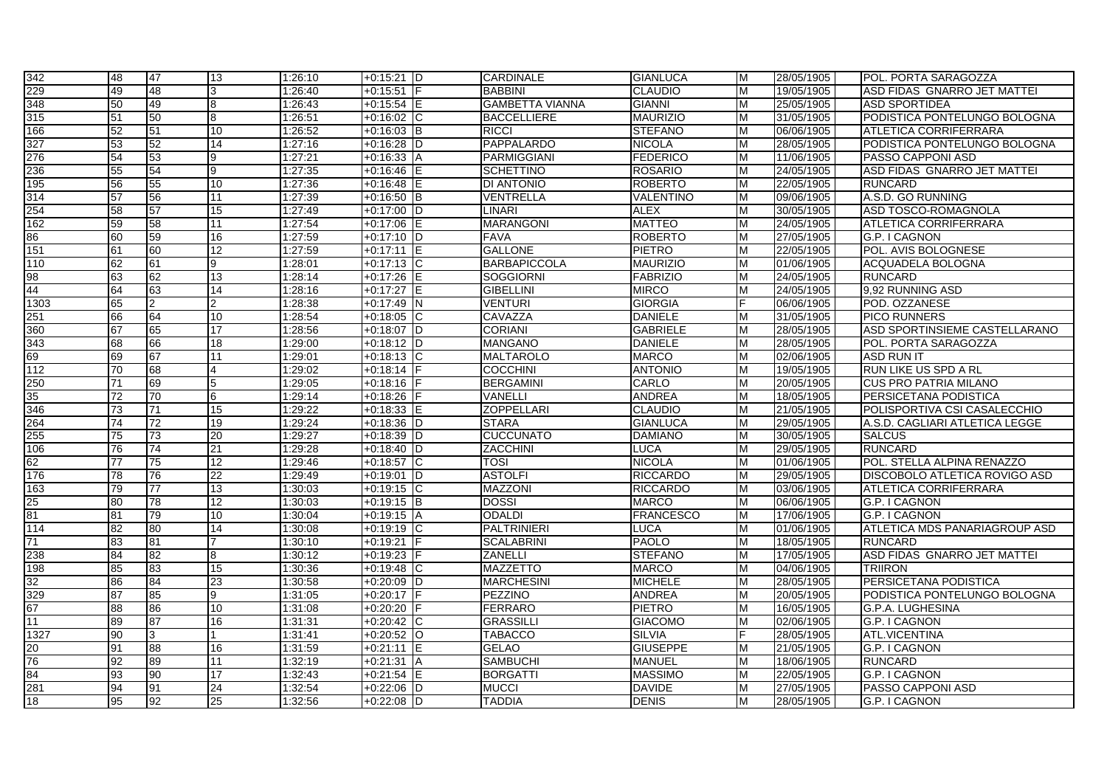| 342                     | 48              | 47 | 13              | 1:26:10 | $+0:15:21$ D      | <b>CARDINALE</b>       | <b>GIANLUCA</b>  | M | 28/05/1905 | POL. PORTA SARAGOZZA                 |
|-------------------------|-----------------|----|-----------------|---------|-------------------|------------------------|------------------|---|------------|--------------------------------------|
| 229                     | 49              | 48 | 3               | 1:26:40 | +0:15:51          | <b>BABBINI</b>         | <b>CLAUDIO</b>   | M | 19/05/1905 | ASD FIDAS GNARRO JET MATTEI          |
| 348                     | 50              | 49 | 8               | 1:26:43 | $+0:15:54$ E      | <b>GAMBETTA VIANNA</b> | <b>GIANNI</b>    | М | 25/05/1905 | <b>ASD SPORTIDEA</b>                 |
| 315                     | 51              | 50 | 8               | 1:26:51 | $+0:16:02$ C      | <b>BACCELLIERE</b>     | <b>MAURIZIO</b>  | м | 31/05/1905 | PODISTICA PONTELUNGO BOLOGNA         |
| 166                     | 52              | 51 | 10              | 1:26:52 | $+0:16:03$ B      | <b>RICCI</b>           | <b>STEFANO</b>   | м | 06/06/1905 | ATLETICA CORRIFERRARA                |
| 327                     | 53              | 52 | 14              | 1:27:16 | $+0:16:28$ D      | PAPPALARDO             | <b>NICOLA</b>    | м | 28/05/1905 | PODISTICA PONTELUNGO BOLOGNA         |
| 276                     | 54              | 53 | 9               | 1:27:21 | $+0:16:33$ A      | <b>PARMIGGIANI</b>     | <b>FEDERICO</b>  | M | 11/06/1905 | PASSO CAPPONI ASD                    |
| 236                     | 55              | 54 | 9               | 1:27:35 | $+0:16:46$        | <b>SCHETTINO</b>       | <b>ROSARIO</b>   | M | 24/05/1905 | ASD FIDAS GNARRO JET MATTEI          |
| 195                     | 56              | 55 | 10              | 1:27:36 | $+0:16:48$ E      | DI ANTONIO             | <b>ROBERTO</b>   | M | 22/05/1905 | <b>RUNCARD</b>                       |
| 314                     | 57              | 56 | 11              | 1:27:39 | $+0:16:50$ B      | VENTRELLA              | VALENTINO        | M | 09/06/1905 | A.S.D. GO RUNNING                    |
| 254                     | 58              | 57 | 15              | 1:27:49 | $+0:17:00$ D      | <b>LINARI</b>          | <b>ALEX</b>      | M | 30/05/1905 | ASD TOSCO-ROMAGNOLA                  |
| 162                     | 59              | 58 | $\overline{11}$ | 1:27:54 | $+0:17:06$<br>IE. | <b>MARANGONI</b>       | <b>MATTEO</b>    | М | 24/05/1905 | <b>ATLETICA CORRIFERRARA</b>         |
| 86                      | 60              | 59 | 16              | 1:27:59 | $+0:17:10$ D      | <b>FAVA</b>            | <b>ROBERTO</b>   | M | 27/05/1905 | G.P. I CAGNON                        |
| 151                     | 61              | 60 | $\overline{12}$ | 1:27:59 | $+0:17:11$ E      | <b>GALLONE</b>         | <b>PIETRO</b>    | M | 22/05/1905 | POL. AVIS BOLOGNESE                  |
| 110                     | 62              | 61 | 9               | 1:28:01 | $+0:17:13$ C      | <b>BARBAPICCOLA</b>    | <b>MAURIZIO</b>  | M | 01/06/1905 | <b>ACQUADELA BOLOGNA</b>             |
| 98<br>44                | 63              | 62 | 13              | 1:28:14 | $+0:17:26$ E      | <b>SOGGIORNI</b>       | <b>FABRIZIO</b>  | м | 24/05/1905 | <b>RUNCARD</b>                       |
|                         | 64              | 63 | 14              | 1:28:16 | $+0:17:27$ E      | <b>GIBELLINI</b>       | <b>MIRCO</b>     | M | 24/05/1905 | 9.92 RUNNING ASD                     |
| 1303                    | 65              | 2  | $\overline{2}$  | 1:28:38 | $+0:17:49$ N      | VENTURI                | <b>GIORGIA</b>   |   | 06/06/1905 | POD. OZZANESE                        |
|                         | 66              | 64 | 10              | 1:28:54 | $+0:18:05$ C      | CAVAZZA                | <b>DANIELE</b>   | M | 31/05/1905 | <b>PICO RUNNERS</b>                  |
| 251<br>360              | 67              | 65 | 17              | 1:28:56 | +0:18:07 D        | <b>CORIANI</b>         | <b>GABRIELE</b>  | м | 28/05/1905 | ASD SPORTINSIEME CASTELLARANO        |
| 343                     | 68              | 66 | $\overline{18}$ | 1:29:00 | $+0:18:12$ D      | <b>MANGANO</b>         | <b>DANIELE</b>   | M | 28/05/1905 | POL. PORTA SARAGOZZA                 |
| 69                      | 69              | 67 | 11              | 1:29:01 | $+0:18:13$ C      | <b>MALTAROLO</b>       | <b>MARCO</b>     | М | 02/06/1905 | <b>ASD RUN IT</b>                    |
| 112                     | 70              | 68 | $\overline{4}$  | 1:29:02 | $+0:18:14$ F      | <b>COCCHINI</b>        | <b>ANTONIO</b>   | м | 19/05/1905 | RUN LIKE US SPD A RL                 |
| 250                     | 71              | 69 | 5               | 1:29:05 | $+0:18:16$ F      | <b>BERGAMINI</b>       | CARLO            | м | 20/05/1905 | <b>CUS PRO PATRIA MILANO</b>         |
| 35                      | 72              | 70 | 6               | 1:29:14 | $+0:18:26$ F      | <b>VANELLI</b>         | <b>ANDREA</b>    | M | 18/05/1905 | <b>PERSICETANA PODISTICA</b>         |
| 346                     | 73              | 71 | 15              | 1:29:22 | $+0:18:33$ E      | <b>ZOPPELLARI</b>      | <b>CLAUDIO</b>   | M | 21/05/1905 | POLISPORTIVA CSI CASALECCHIO         |
| 264<br>255              | 74              | 72 | 19              | 1:29:24 | $+0:18:36$ D      | <b>STARA</b>           | <b>GIANLUCA</b>  | м | 29/05/1905 | A.S.D. CAGLIARI ATLETICA LEGGE       |
|                         | $\overline{75}$ | 73 | $\overline{20}$ | 1:29:27 | $+0:18:39$ D      | <b>CUCCUNATO</b>       | <b>DAMIANO</b>   | м | 30/05/1905 | <b>SALCUS</b>                        |
| 106                     | 76              | 74 | 21              | 1:29:28 | $+0.18:40$ D      | <b>ZACCHINI</b>        | <b>LUCA</b>      | M | 29/05/1905 | <b>RUNCARD</b>                       |
| 62                      | $\overline{77}$ | 75 | $\overline{12}$ | 1:29:46 | $+0.18:57$ C      | TOSI                   | <b>NICOLA</b>    | M | 01/06/1905 | POL. STELLA ALPINA RENAZZO           |
| 176                     | 78              | 76 | 22              | 1:29:49 | $+0:19:01$<br>ID  | <b>ASTOLFI</b>         | <b>RICCARDO</b>  | М | 29/05/1905 | DISCOBOLO ATLETICA ROVIGO ASD        |
| 163                     | 79              | 77 | 13              | 1:30:03 | $+0:19:15$ C      | <b>MAZZONI</b>         | <b>RICCARDO</b>  | м | 03/06/1905 | <b>ATLETICA CORRIFERRARA</b>         |
| $\frac{25}{81}$         | 80              | 78 | 12              | 1:30:03 | $+0:19:15$ B      | <b>DOSSI</b>           | <b>MARCO</b>     | м | 06/06/1905 | G.P. I CAGNON                        |
|                         | 81              | 79 | 10              | 1:30:04 | $+0:19:15$ A      | <b>ODALDI</b>          | <b>FRANCESCO</b> | M | 17/06/1905 | G.P. I CAGNON                        |
| 114                     | 82              | 80 | 14              | 1:30:08 | $+0.19.19$ C      | <b>PALTRINIERI</b>     | <b>LUCA</b>      | M | 01/06/1905 | <b>ATLETICA MDS PANARIAGROUP ASD</b> |
| 71                      | 83              | 81 | 7               | 1:30:10 | $+0:19:21$        | SCALABRINI             | <b>PAOLO</b>     | M | 18/05/1905 | <b>RUNCARD</b>                       |
| 238                     | 84              | 82 | 8               | 1:30:12 | $+0:19:23$        | ZANELLI                | <b>STEFANO</b>   | M | 17/05/1905 | ASD FIDAS GNARRO JET MATTEI          |
| 198                     | 85              | 83 | 15              | 1:30:36 | $+0.19.48$ C      | <b>MAZZETTO</b>        | <b>MARCO</b>     | M | 04/06/1905 | <b>TRIIRON</b>                       |
| 32                      | 86              | 84 | 23              | 1:30:58 | $+0.20:09$ D      | <b>MARCHESINI</b>      | <b>MICHELE</b>   | M | 28/05/1905 | PERSICETANA PODISTICA                |
| 329                     | 87              | 85 | 9               | 1:31:05 | $+0:20:17$        | <b>PEZZINO</b>         | <b>ANDREA</b>    | м | 20/05/1905 | PODISTICA PONTELUNGO BOLOGNA         |
| 67                      | 88              | 86 | 10              | 1:31:08 | $+0:20:20$        | <b>FERRARO</b>         | <b>PIETRO</b>    | M | 16/05/1905 | G.P.A. LUGHESINA                     |
| 11                      | 89              | 87 | 16              | 1:31:31 | $+0:20:42$ C      | <b>GRASSILLI</b>       | <b>GIACOMO</b>   | м | 02/06/1905 | G.P. I CAGNON                        |
| 1327                    | 90              | 3  | 1               | 1:31:41 | $+0:20:52$ O      | TABACCO                | <b>SILVIA</b>    |   | 28/05/1905 | <b>ATL.VICENTINA</b>                 |
| $20\,$                  | 91              | 88 | 16              | 1:31:59 | $+0:21:11$ E      | <b>GELAO</b>           | <b>GIUSEPPE</b>  | M | 21/05/1905 | G.P. I CAGNON                        |
| 76                      | 92              | 89 | 11              | 1:32:19 | $+0:21:31$<br>ΙA  | <b>SAMBUCHI</b>        | MANUEL           | M | 18/06/1905 | <b>RUNCARD</b>                       |
|                         | 93              | 90 | 17              | 1:32:43 | $+0:21:54$ E      | <b>BORGATTI</b>        | <b>MASSIMO</b>   | м | 22/05/1905 | G.P. I CAGNON                        |
|                         | 94              | 91 | 24              | 1:32:54 | $+0.22:06$ D      | <b>MUCCI</b>           | <b>DAVIDE</b>    | M | 27/05/1905 | PASSO CAPPONI ASD                    |
| $\frac{184}{281}$<br>18 | 95              | 92 | $\overline{25}$ | 1:32:56 | $+0:22:08$ D      | <b>TADDIA</b>          | <b>DENIS</b>     | M | 28/05/1905 | G.P. I CAGNON                        |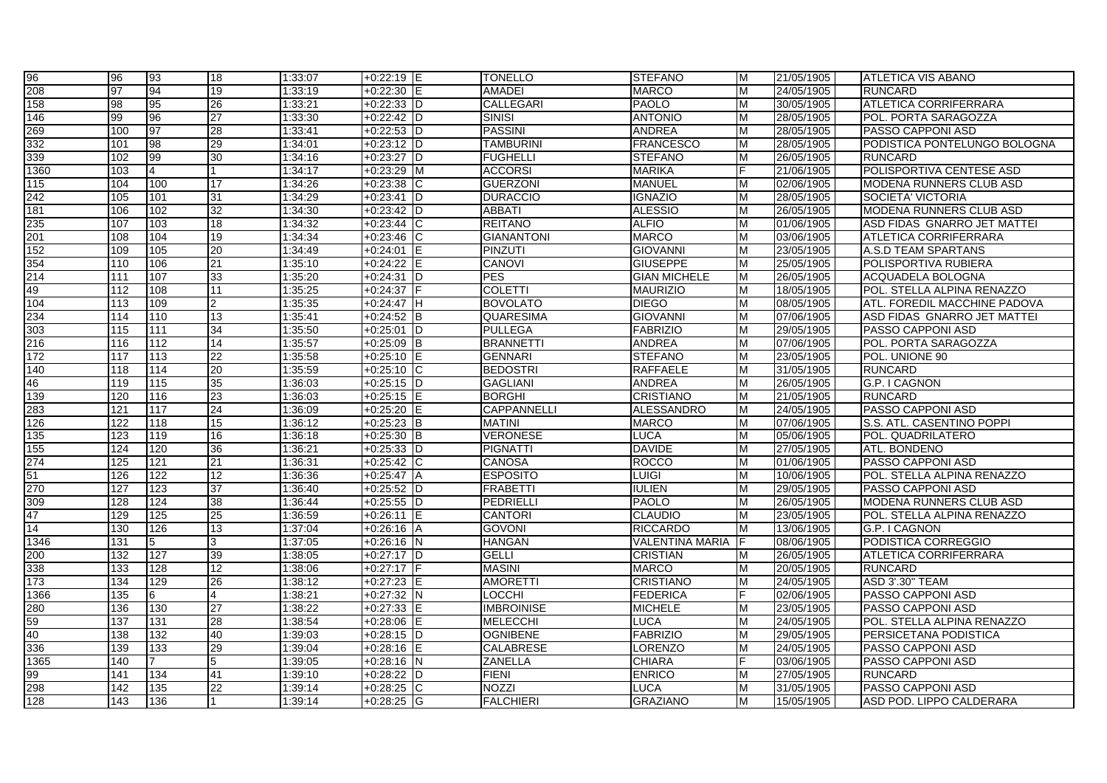| 96   | 96  | 93             | 18              | 1:33:07 | $+0:22:19$ IE           | <b>TONELLO</b>     | <b>STEFANO</b>         | м | 21/05/1905 | <b>ATLETICA VIS ABANO</b>      |
|------|-----|----------------|-----------------|---------|-------------------------|--------------------|------------------------|---|------------|--------------------------------|
| 208  | 97  | 94             | 19              | 1:33:19 | $+0:22:30$              | <b>AMADEI</b>      | <b>MARCO</b>           | M | 24/05/1905 | <b>RUNCARD</b>                 |
| 158  | 98  | 95             | $\overline{26}$ | 1:33:21 | $+0:22:33$ D            | CALLEGARI          | <b>PAOLO</b>           | M | 30/05/1905 | <b>ATLETICA CORRIFERRARA</b>   |
| 146  | 99  | 96             | $\overline{27}$ | 1:33:30 | $+0:22:42$ D            | <b>SINISI</b>      | <b>ANTONIO</b>         | M | 28/05/1905 | POL. PORTA SARAGOZZA           |
| 269  | 100 | 97             | 28              | 1:33:41 | $+0:22:53$ D            | <b>PASSINI</b>     | <b>ANDREA</b>          | м | 28/05/1905 | PASSO CAPPONI ASD              |
| 332  | 101 | 98             | 29              | 1:34:01 | $+0:23:12$ D            | <b>TAMBURINI</b>   | <b>FRANCESCO</b>       | M | 28/05/1905 | PODISTICA PONTELUNGO BOLOGNA   |
| 339  | 102 | 99             | 30              | 1:34:16 | $+0:23:27$ D            | <b>FUGHELLI</b>    | <b>STEFANO</b>         | M | 26/05/1905 | <b>RUNCARD</b>                 |
| 1360 | 103 | $\overline{4}$ |                 | 1:34:17 | $+0:23:29$ M            | <b>ACCORSI</b>     | <b>MARIKA</b>          |   | 21/06/1905 | POLISPORTIVA CENTESE ASD       |
| 115  | 104 | 100            | $\overline{17}$ | 1:34:26 | $+0:23:38$<br>IС        | <b>GUERZONI</b>    | <b>MANUEL</b>          | M | 02/06/1905 | <b>MODENA RUNNERS CLUB ASD</b> |
| 242  | 105 | 101            | 31              | 1:34:29 | $+0:23:41$<br>ID        | <b>DURACCIO</b>    | <b>IGNAZIO</b>         | м | 28/05/1905 | <b>SOCIETA' VICTORIA</b>       |
| 181  | 106 | 102            | 32              | 1:34:30 | $+0.23:42$<br>ID        | <b>ABBATI</b>      | <b>ALESSIO</b>         | M | 26/05/1905 | MODENA RUNNERS CLUB ASD        |
| 235  | 107 | 103            | $\overline{18}$ | 1:34:32 | $+0:23:44$<br>IС        | <b>REITANO</b>     | <b>ALFIO</b>           | M | 01/06/1905 | ASD FIDAS GNARRO JET MATTEI    |
| 201  | 108 | 104            | 19              | 1:34:34 | $+0:23:46$<br>Iс        | <b>GIANANTONI</b>  | <b>MARCO</b>           | M | 03/06/1905 | <b>ATLETICA CORRIFERRARA</b>   |
| 152  | 109 | 105            | 20              | 1:34:49 | $+0:24:01$              | PINZUTI            | <b>GIOVANNI</b>        | м | 23/05/1905 | A.S.D TEAM SPARTANS            |
| 354  | 110 | 106            | 21              | 1:35:10 | $+0:24:22$              | <b>CANOVI</b>      | <b>GIUSEPPE</b>        | м | 25/05/1905 | POLISPORTIVA RUBIERA           |
| 214  | 111 | 107            | 33              | 1:35:20 | $+0.24.31$<br>ID        | <b>PES</b>         | <b>GIAN MICHELE</b>    | M | 26/05/1905 | ACQUADELA BOLOGNA              |
| 49   | 112 | 108            | 11              | 1:35:25 | $+0:24:37$              | <b>COLETTI</b>     | <b>MAURIZIO</b>        | м | 18/05/1905 | POL. STELLA ALPINA RENAZZO     |
| 104  | 113 | 109            | 2               | 1:35:35 | $+0:24:47$ H            | <b>BOVOLATO</b>    | <b>DIEGO</b>           | м | 08/05/1905 | ATL. FOREDIL MACCHINE PADOVA   |
| 234  | 114 | 110            | 13              | 1:35:41 | $+0.24:52$ B            | <b>QUARESIMA</b>   | <b>GIOVANNI</b>        | м | 07/06/1905 | ASD FIDAS GNARRO JET MATTEI    |
| 303  | 115 | 111            | 34              | 1:35:50 | $+0.25:01$<br>ID        | <b>PULLEGA</b>     | <b>FABRIZIO</b>        | M | 29/05/1905 | <b>PASSO CAPPONI ASD</b>       |
| 216  | 116 | 112            | 14              | 1:35:57 | $+0:25:09$<br>Iв        | <b>BRANNETTI</b>   | <b>ANDREA</b>          | M | 07/06/1905 | POL. PORTA SARAGOZZA           |
| 172  | 117 | 113            | $\overline{22}$ | 1:35:58 | $+0:25:10$ E            | <b>GENNARI</b>     | <b>STEFANO</b>         | M | 23/05/1905 | POL. UNIONE 90                 |
| 140  | 118 | 114            | 20              | 1:35:59 | $+0:25:10$ C            | <b>BEDOSTRI</b>    | <b>RAFFAELE</b>        | м | 31/05/1905 | <b>RUNCARD</b>                 |
| 46   | 119 | 115            | $\overline{35}$ | 1:36:03 | $+0:25:15$ D            | <b>GAGLIANI</b>    | <b>ANDREA</b>          | м | 26/05/1905 | G.P. I CAGNON                  |
| 139  | 120 | 116            | 23              | 1:36:03 | $+0:25:15$              | <b>BORGHI</b>      | <b>CRISTIANO</b>       | M | 21/05/1905 | <b>RUNCARD</b>                 |
| 283  | 121 | 117            | 24              | 1:36:09 | $+0:25:20$              | <b>CAPPANNELLI</b> | <b>ALESSANDRO</b>      | м | 24/05/1905 | PASSO CAPPONI ASD              |
| 126  | 122 | 118            | $\overline{15}$ | 1:36:12 | $+0:25:23$ B            | <b>MATINI</b>      | <b>MARCO</b>           | м | 07/06/1905 | S.S. ATL. CASENTINO POPPI      |
| 135  | 123 | 119            | 16              | 1:36:18 | $+0:25:30$<br><b>IB</b> | <b>VERONESE</b>    | <b>LUCA</b>            | м | 05/06/1905 | POL. QUADRILATERO              |
| 155  | 124 | 120            | 36              | 1:36:21 | $+0:25:33$ D            | <b>PIGNATTI</b>    | <b>DAVIDE</b>          | M | 27/05/1905 | ATL. BONDENO                   |
| 274  | 125 | 121            | 21              | 1:36:31 | $+0:25:42$ C            | <b>CANOSA</b>      | <b>ROCCO</b>           | M | 01/06/1905 | PASSO CAPPONI ASD              |
| 51   | 126 | 122            | $\overline{12}$ | 1:36:36 | $+0:25:47$<br>IΑ        | <b>ESPOSITO</b>    | <b>LUIGI</b>           | M | 10/06/1905 | POL. STELLA ALPINA RENAZZO     |
| 270  | 127 | 123            | 37              | 1:36:40 | $+0:25:52$ D            | <b>FRABETTI</b>    | <b>IULIEN</b>          | м | 29/05/1905 | PASSO CAPPONI ASD              |
| 309  | 128 | 124            | 38              | 1:36:44 | $+0:25:55$ D            | PEDRIELLI          | <b>PAOLO</b>           | M | 26/05/1905 | MODENA RUNNERS CLUB ASD        |
| 47   | 129 | 125            | $\overline{25}$ | 1:36:59 | $+0:26:11$              | <b>CANTORI</b>     | <b>CLAUDIO</b>         | M | 23/05/1905 | POL. STELLA ALPINA RENAZZO     |
| 14   | 130 | 126            | 13              | 1:37:04 | $+0:26:16$ A            | <b>GOVONI</b>      | <b>RICCARDO</b>        | м | 13/06/1905 | G.P. I CAGNON                  |
| 1346 | 131 | 5              | 3               | 1:37:05 | $+0:26:16$ N            | <b>HANGAN</b>      | <b>VALENTINA MARIA</b> | F | 08/06/1905 | PODISTICA CORREGGIO            |
| 200  | 132 | 127            | 39              | 1:38:05 | $+0:27:17$ D            | <b>GELLI</b>       | <b>CRISTIAN</b>        | м | 26/05/1905 | <b>ATLETICA CORRIFERRARA</b>   |
| 338  | 133 | 128            | 12              | 1:38:06 | $+0:27:17$              | <b>MASINI</b>      | <b>MARCO</b>           | M | 20/05/1905 | <b>RUNCARD</b>                 |
| 173  | 134 | 129            | 26              | 1:38:12 | $+0:27:23$              | <b>AMORETTI</b>    | <b>CRISTIANO</b>       | M | 24/05/1905 | ASD 3'.30" TEAM                |
| 1366 | 135 | 6              | 4               | 1:38:21 | $+0:27:32$ N            | <b>LOCCHI</b>      | <b>FEDERICA</b>        |   | 02/06/1905 | PASSO CAPPONI ASD              |
| 280  | 136 | 130            | 27              | 1:38:22 | $+0:27:33$<br>IE        | <b>IMBROINISE</b>  | <b>MICHELE</b>         | м | 23/05/1905 | PASSO CAPPONI ASD              |
| 59   | 137 | 131            | 28              | 1:38:54 | $+0:28:06$              | <b>MELECCHI</b>    | <b>LUCA</b>            | M | 24/05/1905 | POL. STELLA ALPINA RENAZZO     |
| 40   | 138 | 132            | 40              | 1:39:03 | $+0:28:15$<br>ID        | <b>OGNIBENE</b>    | <b>FABRIZIO</b>        | м | 29/05/1905 | PERSICETANA PODISTICA          |
| 336  | 139 | 133            | 29              | 1:39:04 | $+0:28:16$<br>ΙE        | <b>CALABRESE</b>   | <b>LORENZO</b>         | м | 24/05/1905 | <b>PASSO CAPPONI ASD</b>       |
| 1365 | 140 |                | 5               | 1:39:05 | $+0:28:16$ N            | <b>ZANELLA</b>     | <b>CHIARA</b>          | F | 03/06/1905 | <b>PASSO CAPPONI ASD</b>       |
| 99   | 141 | 134            | 41              | 1:39:10 | +0:28:22<br>ID          | <b>FIENI</b>       | <b>ENRICO</b>          | м | 27/05/1905 | <b>RUNCARD</b>                 |
| 298  | 142 | 135            | 22              | 1:39:14 | $+0:28:25$<br>IС        | NOZZI              | <b>LUCA</b>            |   | 31/05/1905 | PASSO CAPPONI ASD              |
| 128  | 143 | 136            |                 | 1:39:14 | $+0:28:25$ G            | <b>FALCHIERI</b>   | <b>GRAZIANO</b>        | M | 15/05/1905 | ASD POD. LIPPO CALDERARA       |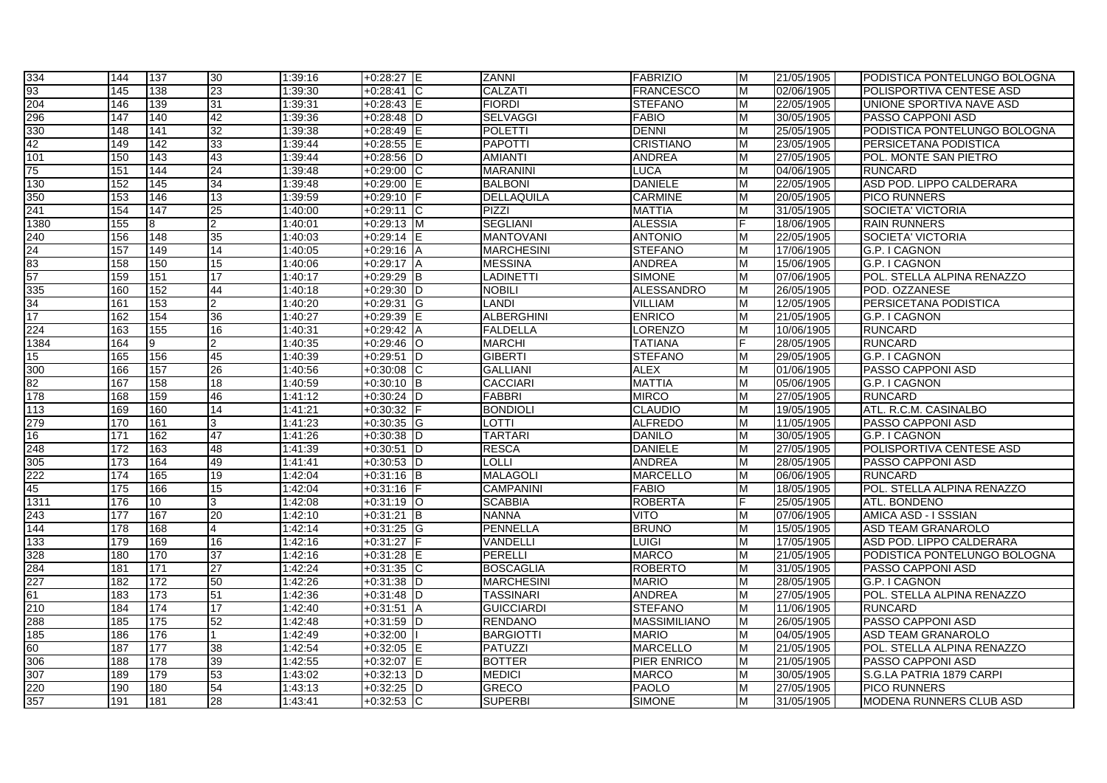| 334                                          | 144 | 137 | 30             | 1:39:16 | $+0:28:27$ E     | <b>ZANNI</b>      | <b>FABRIZIO</b>     | м | 21/05/1905 | PODISTICA PONTELUNGO BOLOGNA   |
|----------------------------------------------|-----|-----|----------------|---------|------------------|-------------------|---------------------|---|------------|--------------------------------|
| 93                                           | 145 | 138 | 23             | 1:39:30 | $+0.28:41$<br>IС | CALZATI           | <b>FRANCESCO</b>    | M | 02/06/1905 | POLISPORTIVA CENTESE ASD       |
|                                              | 146 | 139 | 31             | 1:39:31 | $+0:28:43$ E     | <b>FIORDI</b>     | <b>STEFANO</b>      | м | 22/05/1905 | UNIONE SPORTIVA NAVE ASD       |
| 204<br>296                                   | 147 | 140 | 42             | 1:39:36 | $+0:28:48$ D     | <b>SELVAGGI</b>   | <b>FABIO</b>        | м | 30/05/1905 | PASSO CAPPONI ASD              |
| 330                                          | 148 | 141 | 32             | 1:39:38 | $+0:28:49$ E     | POLETTI           | <b>DENNI</b>        | м | 25/05/1905 | PODISTICA PONTELUNGO BOLOGNA   |
| 42                                           | 149 | 142 | 33             | 1:39:44 | $+0:28:55$ E     | <b>PAPOTTI</b>    | <b>CRISTIANO</b>    | M | 23/05/1905 | PERSICETANA PODISTICA          |
| 101                                          | 150 | 143 | 43             | 1:39:44 | $+0.28:56$ D     | <b>AMIANTI</b>    | <b>ANDREA</b>       | M | 27/05/1905 | POL. MONTE SAN PIETRO          |
| 75                                           | 151 | 144 | 24             | 1:39:48 | $+0.29:00$<br>IС | <b>MARANINI</b>   | <b>LUCA</b>         | м | 04/06/1905 | <b>RUNCARD</b>                 |
| 130                                          | 152 | 145 | 34             | 1:39:48 | $+0.29:00$       | <b>BALBONI</b>    | <b>DANIELE</b>      | м | 22/05/1905 | ASD POD. LIPPO CALDERARA       |
| 350                                          | 153 | 146 | 13             | 1:39:59 | +0:29:10         | <b>DELLAQUILA</b> | <b>CARMINE</b>      | м | 20/05/1905 | <b>PICO RUNNERS</b>            |
| 241                                          | 154 | 147 | 25             | 1:40:00 | $+0.29:11$<br>ТC | <b>PIZZI</b>      | <b>MATTIA</b>       | M | 31/05/1905 | SOCIETA' VICTORIA              |
| 1380                                         | 155 | 8   | $\overline{2}$ | 1:40:01 | $+0:29:13$ M     | <b>SEGLIANI</b>   | <b>ALESSIA</b>      |   | 18/06/1905 | <b>RAIN RUNNERS</b>            |
| $\frac{240}{24}$<br>$\frac{24}{83}$          | 156 | 148 | 35             | 1:40:03 | $+0:29:14$ E     | <b>MANTOVANI</b>  | <b>ANTONIO</b>      | м | 22/05/1905 | <b>SOCIETA' VICTORIA</b>       |
|                                              | 157 | 149 | 14             | 1:40:05 | $+0.29:16$ A     | <b>MARCHESINI</b> | <b>STEFANO</b>      | м | 17/06/1905 | G.P. I CAGNON                  |
|                                              | 158 | 150 | 15             | 1:40:06 | $+0:29:17$ A     | <b>MESSINA</b>    | <b>ANDREA</b>       | M | 15/06/1905 | G.P. I CAGNON                  |
| $\overline{57}$                              | 159 | 151 | 17             | 1:40:17 | $+0:29:29$ B     | <b>LADINETTI</b>  | <b>SIMONE</b>       | M | 07/06/1905 | POL. STELLA ALPINA RENAZZO     |
| 335                                          | 160 | 152 | 44             | 1:40:18 | +0:29:30<br>ID   | Nobili            | <b>ALESSANDRO</b>   | м | 26/05/1905 | POD. OZZANESE                  |
| $\frac{34}{17}$                              | 161 | 153 | $\overline{2}$ | 1:40:20 | $+0:29:31$<br>IG | <b>LANDI</b>      | VILLIAM             | м | 12/05/1905 | PERSICETANA PODISTICA          |
|                                              | 162 | 154 | 36             | 1:40:27 | $+0:29:39$       | <b>ALBERGHINI</b> | <b>ENRICO</b>       | м | 21/05/1905 | G.P. I CAGNON                  |
| 224                                          | 163 | 155 | 16             | 1:40:31 | $+0:29:42$ A     | <b>FALDELLA</b>   | LORENZO             | M | 10/06/1905 | <b>RUNCARD</b>                 |
| 1384                                         | 164 | 9   | $\overline{2}$ | 1:40:35 | $+0.29:46$<br>IО | <b>MARCHI</b>     | TATIANA             |   | 28/05/1905 | <b>RUNCARD</b>                 |
| 15                                           | 165 | 156 | 45             | 1:40:39 | $+0:29:51$<br>ID | <b>GIBERTI</b>    | <b>STEFANO</b>      | м | 29/05/1905 | G.P. I CAGNON                  |
| 300                                          | 166 | 157 | 26             | 1:40:56 | $+0:30:08$ C     | <b>GALLIANI</b>   | <b>ALEX</b>         | м | 01/06/1905 | <b>PASSO CAPPONI ASD</b>       |
| 82                                           | 167 | 158 | 18             | 1:40:59 | $+0:30:10$ B     | <b>CACCIARI</b>   | <b>MATTIA</b>       | M | 05/06/1905 | G.P. I CAGNON                  |
| 178                                          | 168 | 159 | 46             | 1:41:12 | $+0:30:24$ D     | <b>FABBRI</b>     | <b>MIRCO</b>        | M | 27/05/1905 | <b>RUNCARD</b>                 |
| 113                                          | 169 | 160 | 14             | 1:41:21 | +0:30:32         | <b>BONDIOLI</b>   | <b>CLAUDIO</b>      | м | 19/05/1905 | ATL. R.C.M. CASINALBO          |
| 279                                          | 170 | 161 | 3              | 1:41:23 | +0:30:35 G       | LOTTI             | <b>ALFREDO</b>      | м | 11/05/1905 | <b>PASSO CAPPONI ASD</b>       |
| 16                                           | 171 | 162 | 47             | 1:41:26 | $+0:30:38$ D     | TARTARI           | <b>DANILO</b>       | м | 30/05/1905 | <b>G.P. I CAGNON</b>           |
| 248<br>305                                   | 172 | 163 | 48             | 1:41:39 | $+0:30:51$ D     | <b>RESCA</b>      | <b>DANIELE</b>      | M | 27/05/1905 | POLISPORTIVA CENTESE ASD       |
|                                              | 173 | 164 | 49             | 1:41:41 | $+0:30:53$ D     | LOLLI             | ANDREA              | M | 28/05/1905 | PASSO CAPPONI ASD              |
| 222                                          | 174 | 165 | 19             | 1:42:04 | $+0:31:16$ B     | <b>MALAGOLI</b>   | <b>MARCELLO</b>     | м | 06/06/1905 | <b>RUNCARD</b>                 |
| 45                                           | 175 | 166 | 15             | 1:42:04 | $+0:31:16$       | <b>CAMPANINI</b>  | <b>FABIO</b>        | м | 18/05/1905 | POL. STELLA ALPINA RENAZZO     |
| 1311                                         | 176 | 10  | 3              | 1:42:08 | $+0:31:19$ O     | <b>SCABBIA</b>    | <b>ROBERTA</b>      |   | 25/05/1905 | ATL. BONDENO                   |
| 243                                          | 177 | 167 | 20             | 1:42:10 | $+0:31:21$ B     | <b>NANNA</b>      | <b>VITO</b>         | M | 07/06/1905 | AMICA ASD - I SSSIAN           |
| 144                                          | 178 | 168 | 4              | 1:42:14 | $+0:31:25$ G     | <b>PENNELLA</b>   | <b>BRUNO</b>        | м | 15/05/1905 | ASD TEAM GRANAROLO             |
| 133                                          | 179 | 169 | 16             | 1:42:16 | $+0:31:27$       | VANDELLI          | <b>LUIGI</b>        | м | 17/05/1905 | ASD POD. LIPPO CALDERARA       |
| 328                                          | 180 | 170 | 37             | 1:42:16 | +0:31:28         | PERELLI           | <b>MARCO</b>        | м | 21/05/1905 | PODISTICA PONTELUNGO BOLOGNA   |
|                                              | 181 | 171 | 27             | 1:42:24 | $+0:31:35$<br>ТC | <b>BOSCAGLIA</b>  | <b>ROBERTO</b>      | м | 31/05/1905 | PASSO CAPPONI ASD              |
| $\frac{284}{227}$<br>$\frac{227}{61}$<br>210 | 182 | 172 | 50             | 1:42:26 | $+0:31:38$ D     | <b>MARCHESINI</b> | <b>MARIO</b>        | M | 28/05/1905 | G.P. I CAGNON                  |
|                                              | 183 | 173 | 51             | 1:42:36 | $+0:31:48$ D     | <b>TASSINARI</b>  | <b>ANDREA</b>       | M | 27/05/1905 | POL. STELLA ALPINA RENAZZO     |
|                                              | 184 | 174 | 17             | 1:42:40 | $+0:31:51$ A     | <b>GUICCIARDI</b> | <b>STEFANO</b>      | м | 11/06/1905 | <b>RUNCARD</b>                 |
| 288                                          | 185 | 175 | 52             | 1:42:48 | $+0:31:59$ D     | <b>RENDANO</b>    | <b>MASSIMILIANO</b> | м | 26/05/1905 | PASSO CAPPONI ASD              |
| 185                                          | 186 | 176 | 1              | 1:42:49 | $+0:32:00$       | <b>BARGIOTTI</b>  | <b>MARIO</b>        | м | 04/05/1905 | ASD TEAM GRANAROLO             |
| 60                                           | 187 | 177 | 38             | 1:42:54 | $+0:32:05$ E     | PATUZZI           | <b>MARCELLO</b>     | м | 21/05/1905 | POL. STELLA ALPINA RENAZZO     |
| 306                                          | 188 | 178 | 39             | 1:42:55 | $+0:32:07$<br>IΕ | <b>BOTTER</b>     | PIER ENRICO         | м | 21/05/1905 | <b>PASSO CAPPONI ASD</b>       |
| 307                                          | 189 | 179 | 53             | 1:43:02 | $+0:32:13$ D     | <b>MEDICI</b>     | <b>MARCO</b>        | м | 30/05/1905 | S.G.LA PATRIA 1879 CARPI       |
| 220                                          | 190 | 180 | 54             | 1:43:13 | $+0:32:25$ D     | GRECO             | <b>PAOLO</b>        | м | 27/05/1905 | <b>PICO RUNNERS</b>            |
| 357                                          | 191 | 181 | 28             | 1:43:41 | $+0:32:53$ C     | <b>SUPERBI</b>    | <b>SIMONE</b>       | м | 31/05/1905 | <b>MODENA RUNNERS CLUB ASD</b> |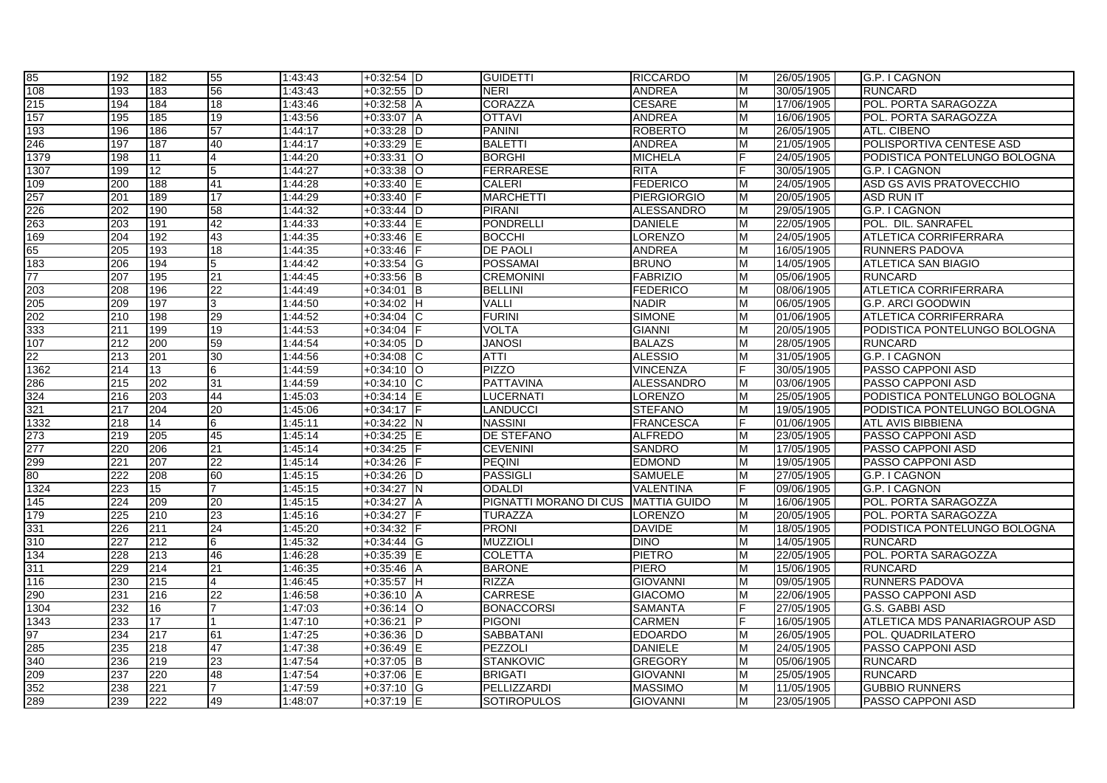| 85   | 192 | 182 | 55              | 1:43:43 | $+0:32:54$ D     | <b>GUIDETTI</b>        | <b>RICCARDO</b>     | М  | 26/05/1905 | G.P. I CAGNON                        |
|------|-----|-----|-----------------|---------|------------------|------------------------|---------------------|----|------------|--------------------------------------|
| 108  | 193 | 183 | 56              | 1:43:43 | $+0.32:55$ D     | <b>NERI</b>            | <b>ANDREA</b>       | M  | 30/05/1905 | <b>RUNCARD</b>                       |
| 215  | 194 | 184 | 18              | 1:43:46 | $+0:32:58$ A     | <b>CORAZZA</b>         | <b>CESARE</b>       | М  | 17/06/1905 | POL. PORTA SARAGOZZA                 |
| 157  | 195 | 185 | 19              | 1:43:56 | $+0:33:07$<br>ΙA | <b>OTTAVI</b>          | <b>ANDREA</b>       | М  | 16/06/1905 | POL. PORTA SARAGOZZA                 |
| 193  | 196 | 186 | $\overline{57}$ | 1:44:17 | $+0:33:28$ D     | <b>PANINI</b>          | <b>ROBERTO</b>      | М  | 26/05/1905 | <b>ATL. CIBENO</b>                   |
| 246  | 197 | 187 | 40              | 1:44:17 | $+0:33:29$ E     | <b>BALETTI</b>         | <b>ANDREA</b>       | м  | 21/05/1905 | POLISPORTIVA CENTESE ASD             |
| 1379 | 198 | 11  | 4               | 1:44:20 | $+0:33:31$ O     | <b>BORGHI</b>          | <b>MICHELA</b>      |    | 24/05/1905 | PODISTICA PONTELUNGO BOLOGNA         |
| 1307 | 199 | 12  | 5               | 1:44:27 | $+0:33:38$ O     | <b>FERRARESE</b>       | <b>RITA</b>         |    | 30/05/1905 | G.P. I CAGNON                        |
| 109  | 200 | 188 | 41              | 1:44:28 | $+0:33:40$       | <b>CALERI</b>          | <b>FEDERICO</b>     | M  | 24/05/1905 | ASD GS AVIS PRATOVECCHIO             |
| 257  | 201 | 189 | 17              | 1:44:29 | $+0:33:40$       | <b>MARCHETTI</b>       | <b>PIERGIORGIO</b>  | M  | 20/05/1905 | <b>ASD RUN IT</b>                    |
| 226  | 202 | 190 | 58              | 1:44:32 | $+0:33:44$ D     | <b>PIRANI</b>          | ALESSANDRO          | M  | 29/05/1905 | G.P. I CAGNON                        |
| 263  | 203 | 191 | 42              | 1:44:33 | $+0:33:44$ E     | <b>PONDRELLI</b>       | <b>DANIELE</b>      | М  | 22/05/1905 | POL. DIL. SANRAFEL                   |
| 169  | 204 | 192 | 43              | 1:44:35 | $+0:33:46$ E     | <b>BOCCHI</b>          | <b>LORENZO</b>      | М  | 24/05/1905 | <b>ATLETICA CORRIFERRARA</b>         |
| 65   | 205 | 193 | $\overline{18}$ | 1:44:35 | $+0:33:46$ F     | <b>DE PAOLI</b>        | <b>ANDREA</b>       | М  | 16/05/1905 | <b>RUNNERS PADOVA</b>                |
| 183  | 206 | 194 | 5               | 1:44:42 | $+0:33:54$ G     | <b>POSSAMAI</b>        | <b>BRUNO</b>        | М  | 14/05/1905 | <b>ATLETICA SAN BIAGIO</b>           |
| 77   | 207 | 195 | 21              | 1:44:45 | $+0:33:56$ B     | <b>CREMONINI</b>       | <b>FABRIZIO</b>     | M  | 05/06/1905 | <b>RUNCARD</b>                       |
| 203  | 208 | 196 | $\overline{22}$ | 1:44:49 | $+0:34:01$ B     | <b>BELLINI</b>         | <b>FEDERICO</b>     | M  | 08/06/1905 | <b>ATLETICA CORRIFERRARA</b>         |
| 205  | 209 | 197 | 3               | 1:44:50 | $+0.34:02$ H     | <b>VALLI</b>           | <b>NADIR</b>        | M  | 06/05/1905 | <b>G.P. ARCI GOODWIN</b>             |
| 202  | 210 | 198 | 29              | 1:44:52 | $+0:34:04$ C     | <b>FURINI</b>          | <b>SIMONE</b>       | M  | 01/06/1905 | <b>ATLETICA CORRIFERRARA</b>         |
| 333  | 211 | 199 | $\overline{19}$ | 1:44:53 | $+0.34:04$       | <b>VOLTA</b>           | <b>GIANNI</b>       | М  | 20/05/1905 | PODISTICA PONTELUNGO BOLOGNA         |
| 107  | 212 | 200 | 59              | 1:44:54 | $+0:34:05$ D     | <b>JANOSI</b>          | <b>BALAZS</b>       | M  | 28/05/1905 | <b>RUNCARD</b>                       |
| 22   | 213 | 201 | 30              | 1:44:56 | $+0:34:08$ C     | <b>ATTI</b>            | <b>ALESSIO</b>      | М  | 31/05/1905 | G.P. I CAGNON                        |
| 1362 | 214 | 13  | 6               | 1:44:59 | $+0:34:10$ O     | <b>PIZZO</b>           | <b>VINCENZA</b>     |    | 30/05/1905 | PASSO CAPPONI ASD                    |
| 286  | 215 | 202 | 31              | 1:44:59 | $+0.34:10$ C     | <b>PATTAVINA</b>       | <b>ALESSANDRO</b>   | M  | 03/06/1905 | PASSO CAPPONI ASD                    |
| 324  | 216 | 203 | 44              | 1:45:03 | $+0:34:14$ E     | <b>LUCERNATI</b>       | <b>LORENZO</b>      | M  | 25/05/1905 | PODISTICA PONTELUNGO BOLOGNA         |
| 321  | 217 | 204 | 20              | 1:45:06 | $+0:34:17$ F     | <b>LANDUCCI</b>        | <b>STEFANO</b>      | М  | 19/05/1905 | PODISTICA PONTELUNGO BOLOGNA         |
| 1332 | 218 | 14  | 6               | 1:45:11 | $+0.34:22$ N     | <b>NASSINI</b>         | <b>FRANCESCA</b>    | F. | 01/06/1905 | ATL AVIS BIBBIENA                    |
| 273  | 219 | 205 | $\overline{45}$ | 1:45:14 | $+0:34:25$ E     | <b>DE STEFANO</b>      | <b>ALFREDO</b>      | M  | 23/05/1905 | PASSO CAPPONI ASD                    |
| 277  | 220 | 206 | 21              | 1:45:14 | $+0:34:25$       | <b>CEVENINI</b>        | <b>SANDRO</b>       | М  | 17/05/1905 | PASSO CAPPONI ASD                    |
| 299  | 221 | 207 | $\overline{22}$ | 1:45:14 | $+0:34:26$       | <b>PEQINI</b>          | <b>EDMOND</b>       | М  | 19/05/1905 | PASSO CAPPONI ASD                    |
| 80   | 222 | 208 | 60              | 1:45:15 | $+0:34:26$ D     | <b>PASSIGLI</b>        | <b>SAMUELE</b>      | М  | 27/05/1905 | G.P. I CAGNON                        |
| 1324 | 223 | 15  |                 | 1:45:15 | $+0:34:27$ N     | <b>ODALDI</b>          | VALENTINA           |    | 09/06/1905 | G.P. I CAGNON                        |
| 145  | 224 | 209 | 20              | 1:45:15 | $+0:34:27$ A     | PIGNATTI MORANO DI CUS | <b>MATTIA GUIDO</b> | M  | 16/06/1905 | POL. PORTA SARAGOZZA                 |
| 179  | 225 | 210 | 23              | 1:45:16 | $+0:34:27$       | <b>TURAZZA</b>         | LORENZO             | M  | 20/05/1905 | POL. PORTA SARAGOZZA                 |
| 331  | 226 | 211 | 24              | 1:45:20 | $+0:34:32$ F     | <b>PRONI</b>           | <b>DAVIDE</b>       | M  | 18/05/1905 | PODISTICA PONTELUNGO BOLOGNA         |
| 310  | 227 | 212 | 6               | 1:45:32 | $+0.34:44$ G     | <b>MUZZIOLI</b>        | <b>DINO</b>         | M  | 14/05/1905 | <b>RUNCARD</b>                       |
| 134  | 228 | 213 | 46              | 1:46:28 | $+0:35:39$<br>ΙE | <b>COLETTA</b>         | <b>PIETRO</b>       | M  | 22/05/1905 | POL. PORTA SARAGOZZA                 |
| 311  | 229 | 214 | 21              | 1:46:35 | $+0:35:46$<br>ΙA | <b>BARONE</b>          | <b>PIERO</b>        | М  | 15/06/1905 | <b>RUNCARD</b>                       |
| 116  | 230 | 215 |                 | 1:46:45 | $+0:35:57$ H     | <b>RIZZA</b>           | <b>GIOVANNI</b>     | М  | 09/05/1905 | <b>RUNNERS PADOVA</b>                |
| 290  | 231 | 216 | $\overline{22}$ | 1:46:58 | $+0:36:10$ A     | <b>CARRESE</b>         | <b>GIACOMO</b>      | М  | 22/06/1905 | PASSO CAPPONI ASD                    |
| 1304 | 232 | 16  |                 | 1:47:03 | $+0.36:14$ O     | <b>BONACCORSI</b>      | <b>SAMANTA</b>      |    | 27/05/1905 | G.S. GABBI ASD                       |
| 1343 | 233 | 17  |                 | 1:47:10 | $+0:36:21$ P     | <b>PIGONI</b>          | <b>CARMEN</b>       |    | 16/05/1905 | <b>ATLETICA MDS PANARIAGROUP ASD</b> |
| 97   | 234 | 217 | 61              | 1:47:25 | $+0:36:36$       | <b>SABBATANI</b>       | <b>EDOARDO</b>      | M  | 26/05/1905 | POL. QUADRILATERO                    |
| 285  | 235 | 218 | 47              | 1:47:38 | $+0.36:49$ E     | PEZZOLI                | <b>DANIELE</b>      | M  | 24/05/1905 | <b>PASSO CAPPONI ASD</b>             |
| 340  | 236 | 219 | 23              | 1:47:54 | $+0:37:05$ B     | <b>STANKOVIC</b>       | <b>GREGORY</b>      | M  | 05/06/1905 | <b>RUNCARD</b>                       |
| 209  | 237 | 220 | 48              | 1:47:54 | +0:37:06 E       | <b>BRIGATI</b>         | <b>GIOVANNI</b>     | M  | 25/05/1905 | <b>RUNCARD</b>                       |
| 352  | 238 | 221 |                 | 1:47:59 | +0:37:10 G       | PELLIZZARDI            | <b>MASSIMO</b>      |    | 11/05/1905 | <b>GUBBIO RUNNERS</b>                |
| 289  | 239 | 222 | 49              | 1:48:07 | $+0:37:19$ E     | <b>SOTIROPULOS</b>     | <b>GIOVANNI</b>     | М  | 23/05/1905 | PASSO CAPPONI ASD                    |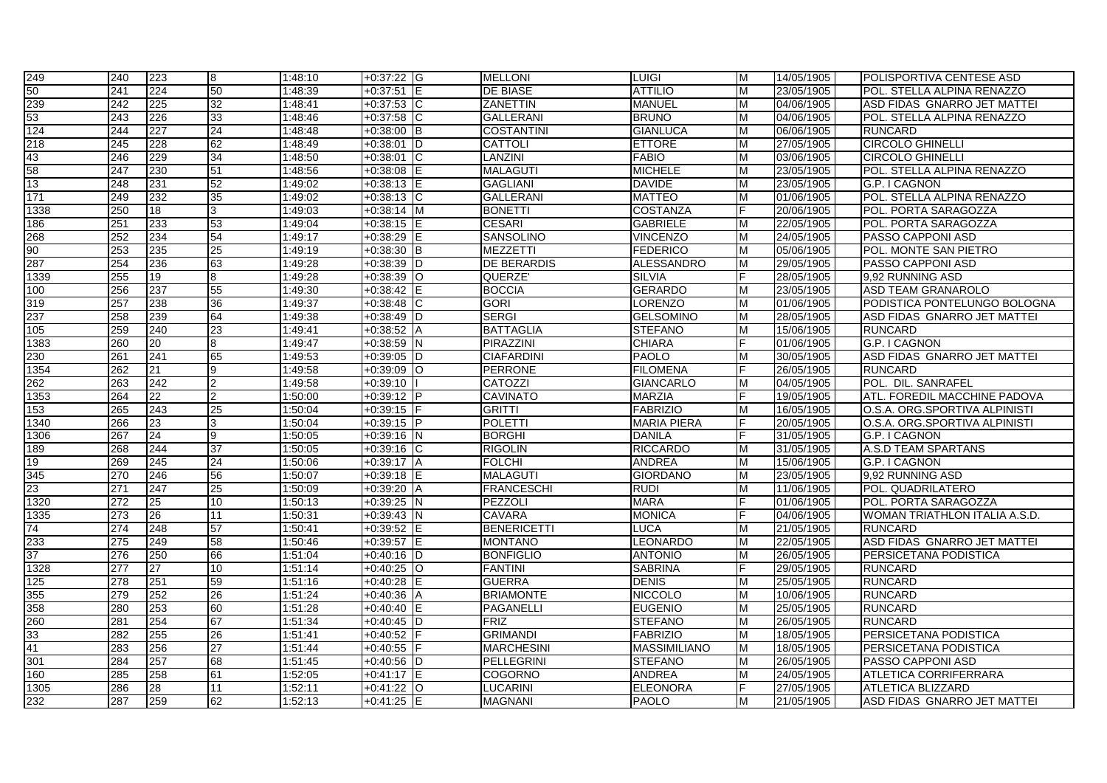| 249             | 240 | 223 | 8               | 1:48:10 | $+0:37:22$ G      | <b>MELLONI</b>     | <b>LUIGI</b>        | М | 14/05/1905 | POLISPORTIVA CENTESE ASD      |
|-----------------|-----|-----|-----------------|---------|-------------------|--------------------|---------------------|---|------------|-------------------------------|
| 50              | 241 | 224 | 50              | 1:48:39 | $+0:37:51$ E      | <b>DE BIASE</b>    | <b>ATTILIO</b>      | м | 23/05/1905 | POL. STELLA ALPINA RENAZZO    |
| 239             | 242 | 225 | $\overline{32}$ | 1:48:41 | $+0:37:53$ C      | <b>ZANETTIN</b>    | <b>MANUEL</b>       | M | 04/06/1905 | ASD FIDAS GNARRO JET MATTEI   |
| 53              | 243 | 226 | 33              | 1:48:46 | $+0:37:58$        | <b>GALLERANI</b>   | <b>BRUNO</b>        | M | 04/06/1905 | POL. STELLA ALPINA RENAZZO    |
| 124             | 244 | 227 | $\overline{24}$ | 1:48:48 | $+0:38:00$ B      | <b>COSTANTINI</b>  | <b>GIANLUCA</b>     | M | 06/06/1905 | <b>RUNCARD</b>                |
| 218             | 245 | 228 | 62              | 1:48:49 | $+0:38:01$<br>ID  | <b>CATTOLI</b>     | <b>ETTORE</b>       | M | 27/05/1905 | <b>CIRCOLO GHINELLI</b>       |
| 43              | 246 | 229 | 34              | 1:48:50 | $+0:38:01$<br>IС  | LANZINI            | <b>FABIO</b>        | M | 03/06/1905 | <b>CIRCOLO GHINELLI</b>       |
| 58              | 247 | 230 | 51              | 1:48:56 | $+0:38:08$        | <b>MALAGUTI</b>    | <b>MICHELE</b>      | M | 23/05/1905 | POL. STELLA ALPINA RENAZZO    |
| 13              | 248 | 231 | 52              | 1:49:02 | $+0:38:13$        | <b>GAGLIANI</b>    | <b>DAVIDE</b>       | м | 23/05/1905 | G.P. I CAGNON                 |
| 171             | 249 | 232 | $\overline{35}$ | 1:49:02 | $+0.38:13$ C      | <b>GALLERANI</b>   | <b>MATTEO</b>       | м | 01/06/1905 | POL. STELLA ALPINA RENAZZO    |
| 1338            | 250 | 18  | 3               | 1:49:03 | $+0:38:14$ M      | <b>BONETTI</b>     | COSTANZA            |   | 20/06/1905 | POL. PORTA SARAGOZZA          |
| 186             | 251 | 233 | 53              | 1:49:04 | $+0:38:15$ E      | <b>CESARI</b>      | <b>GABRIELE</b>     | M | 22/05/1905 | POL. PORTA SARAGOZZA          |
| 268             | 252 | 234 | 54              | 1:49:17 | $+0:38:29$        | SANSOLINO          | <b>VINCENZO</b>     | M | 24/05/1905 | PASSO CAPPONI ASD             |
| 90              | 253 | 235 | $\overline{25}$ | 1:49:19 | $+0:38:30$ B      | <b>MEZZETTI</b>    | <b>FEDERICO</b>     | м | 05/06/1905 | POL. MONTE SAN PIETRO         |
| 287             | 254 | 236 | 63              | 1:49:28 | $+0:38:39$<br>ID  | <b>DE BERARDIS</b> | <b>ALESSANDRO</b>   | M | 29/05/1905 | PASSO CAPPONI ASD             |
| 1339            | 255 | 19  | 8               | 1:49:28 | $+0:38:39$ O      | QUERZE'            | <b>SILVIA</b>       |   | 28/05/1905 | 9.92 RUNNING ASD              |
| 100             | 256 | 237 | 55              | 1:49:30 | $+0:38:42$        | <b>BOCCIA</b>      | <b>GERARDO</b>      | M | 23/05/1905 | <b>ASD TEAM GRANAROLO</b>     |
| 319             | 257 | 238 | 36              | 1:49:37 | $+0:38:48$ C      | <b>GORI</b>        | <b>LORENZO</b>      | м | 01/06/1905 | PODISTICA PONTELUNGO BOLOGNA  |
| 237             | 258 | 239 | 64              | 1:49:38 | $+0:38:49$<br>ID  | <b>SERGI</b>       | <b>GELSOMINO</b>    | M | 28/05/1905 | ASD FIDAS GNARRO JET MATTEI   |
| 105             | 259 | 240 | 23              | 1:49:41 | $+0:38:52$ A      | <b>BATTAGLIA</b>   | <b>STEFANO</b>      | M | 15/06/1905 | <b>RUNCARD</b>                |
| 1383            | 260 | 20  | 8               | 1:49:47 | $+0:38:59$ N      | PIRAZZINI          | <b>CHIARA</b>       |   | 01/06/1905 | G.P. I CAGNON                 |
| 230             | 261 | 241 | 65              | 1:49:53 | $+0:39:05$<br>ID  | <b>CIAFARDINI</b>  | <b>PAOLO</b>        | M | 30/05/1905 | ASD FIDAS GNARRO JET MATTEI   |
| 1354            | 262 | 21  | 9               | 1:49:58 | $+0.39:09$<br>lO. | <b>PERRONE</b>     | <b>FILOMENA</b>     |   | 26/05/1905 | <b>RUNCARD</b>                |
| 262             | 263 | 242 | $\overline{2}$  | 1:49:58 | $+0:39:10$        | <b>CATOZZI</b>     | <b>GIANCARLO</b>    | M | 04/05/1905 | POL. DIL. SANRAFEL            |
| 1353            | 264 | 22  | $\mathcal{P}$   | 1:50:00 | $+0:39:12$ P      | <b>CAVINATO</b>    | <b>MARZIA</b>       |   | 19/05/1905 | ATL. FOREDIL MACCHINE PADOVA  |
| 153             | 265 | 243 | 25              | 1:50:04 | $+0:39:15$        | <b>GRITTI</b>      | <b>FABRIZIO</b>     | M | 16/05/1905 | O.S.A. ORG.SPORTIVA ALPINISTI |
| 1340            | 266 | 23  | 3               | 1:50:04 | $+0.39:15$ P      | <b>POLETTI</b>     | <b>MARIA PIERA</b>  |   | 20/05/1905 | O.S.A. ORG.SPORTIVA ALPINISTI |
| 1306            | 267 | 24  | 9               | 1:50:05 | $+0:39:16$ N      | <b>BORGHI</b>      | <b>DANILA</b>       |   | 31/05/1905 | G.P. I CAGNON                 |
| 189             | 268 | 244 | 37              | 1:50:05 | $+0:39:16$<br>ТC  | <b>RIGOLIN</b>     | <b>RICCARDO</b>     | M | 31/05/1905 | <b>A.S.D TEAM SPARTANS</b>    |
| 19              | 269 | 245 | 24              | 1:50:06 | $+0:39:17$<br>A   | <b>FOLCHI</b>      | <b>ANDREA</b>       | M | 15/06/1905 | G.P. I CAGNON                 |
| 345             | 270 | 246 | $\overline{56}$ | 1:50:07 | $+0:39:18$<br>IE  | <b>MALAGUTI</b>    | <b>GIORDANO</b>     | м | 23/05/1905 | 9,92 RUNNING ASD              |
| 23              | 271 | 247 | 25              | 1:50:09 | $+0:39:20$ A      | <b>FRANCESCHI</b>  | <b>RUDI</b>         | м | 11/06/1905 | POL. QUADRILATERO             |
| 1320            | 272 | 25  | 10 <sup>1</sup> | 1:50:13 | $+0:39:25$ N      | PEZZOLI            | <b>MARA</b>         |   | 01/06/1905 | POL. PORTA SARAGOZZA          |
| 1335            | 273 | 26  | 11              | 1:50:31 | $+0:39:43$ N      | <b>CAVARA</b>      | <b>MONICA</b>       |   | 04/06/1905 | WOMAN TRIATHLON ITALIA A.S.D. |
| 74              | 274 | 248 | 57              | 1:50:41 | $+0:39:52$        | <b>BENERICETTI</b> | <b>LUCA</b>         | м | 21/05/1905 | <b>RUNCARD</b>                |
| 233             | 275 | 249 | $\overline{58}$ | 1:50:46 | $+0:39:57$        | <b>MONTANO</b>     | <b>LEONARDO</b>     | м | 22/05/1905 | ASD FIDAS GNARRO JET MATTEI   |
| 37              | 276 | 250 | 66              | 1:51:04 | $+0:40:16$ D      | <b>BONFIGLIO</b>   | <b>ANTONIO</b>      | м | 26/05/1905 | PERSICETANA PODISTICA         |
| 1328            | 277 | 27  | 10              | 1:51:14 | $+0:40:25$ O      | <b>FANTINI</b>     | <b>SABRINA</b>      |   | 29/05/1905 | <b>RUNCARD</b>                |
| 125             | 278 | 251 | 59              | 1:51:16 | $+0:40:28$        | <b>GUERRA</b>      | <b>DENIS</b>        | M | 25/05/1905 | <b>RUNCARD</b>                |
| 355             | 279 | 252 | 26              | 1:51:24 | $+0:40:36$<br>ΙA  | <b>BRIAMONTE</b>   | <b>NICCOLO</b>      | M | 10/06/1905 | <b>RUNCARD</b>                |
| 358             | 280 | 253 | 60              | 1:51:28 | $+0.40:40$ E      | <b>PAGANELLI</b>   | <b>EUGENIO</b>      | м | 25/05/1905 | <b>RUNCARD</b>                |
| 260             | 281 | 254 | 67              | 1:51:34 | $+0:40:45$ D      | FRIZ               | <b>STEFANO</b>      | M | 26/05/1905 | <b>RUNCARD</b>                |
|                 | 282 | 255 | 26              | 1:51:41 | $+0:40:52$        | <b>GRIMANDI</b>    | <b>FABRIZIO</b>     | м | 18/05/1905 | PERSICETANA PODISTICA         |
| $\frac{33}{41}$ | 283 | 256 | 27              | 1:51:44 | $+0.40:55$ F      | <b>MARCHESINI</b>  | <b>MASSIMILIANO</b> | м | 18/05/1905 | PERSICETANA PODISTICA         |
| 301             | 284 | 257 | 68              | 1:51:45 | $+0.40:56$ D      | <b>PELLEGRINI</b>  | <b>STEFANO</b>      | м | 26/05/1905 | PASSO CAPPONI ASD             |
| 160             | 285 | 258 | 61              | 1:52:05 | $+0:41:17$ E      | <b>COGORNO</b>     | ANDREA              | м | 24/05/1905 | <b>ATLETICA CORRIFERRARA</b>  |
| 1305            | 286 | 28  | 11              | 1:52:11 | $+0.41:22$ O      | LUCARINI           | <b>ELEONORA</b>     |   | 27/05/1905 | <b>ATLETICA BLIZZARD</b>      |
| 232             | 287 | 259 | 62              | 1:52:13 | $+0:41:25$ E      | <b>MAGNANI</b>     | <b>PAOLO</b>        | M | 21/05/1905 | ASD FIDAS GNARRO JET MATTEI   |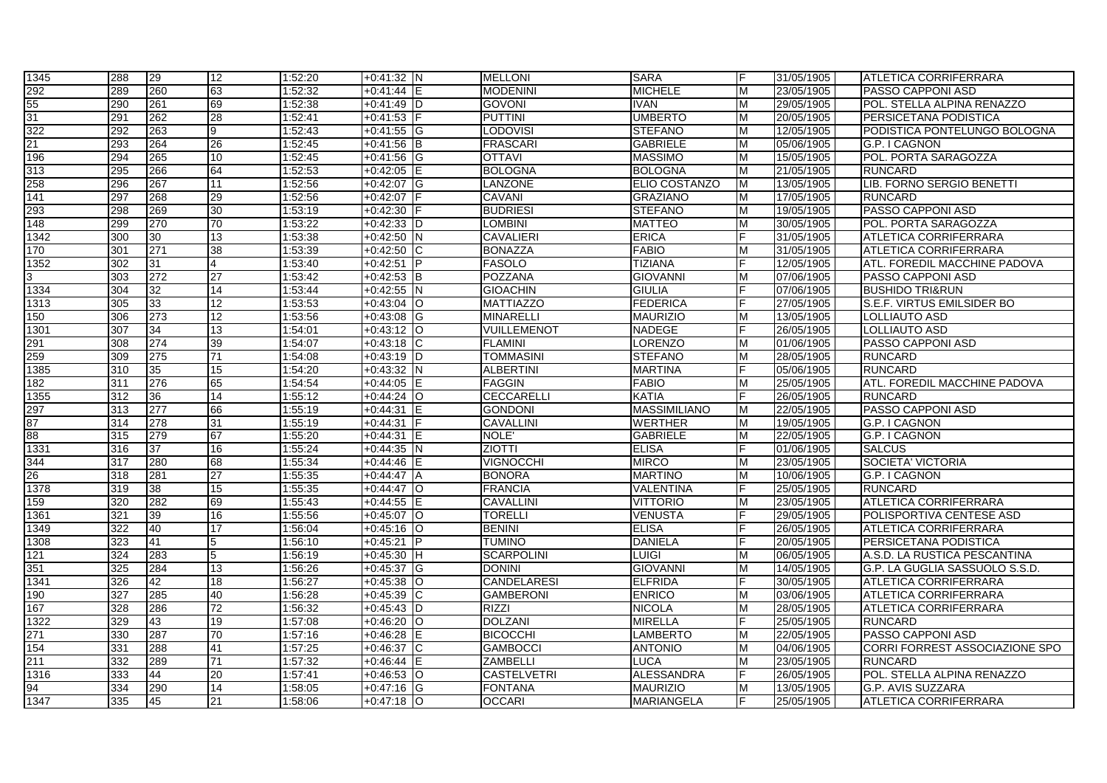| 1345                                                     | 288 | 29  | 12              | 1:52:20 | $+0:41:32$ N            | <b>MELLONI</b>     | <b>SARA</b>         | F | 31/05/1905 | <b>ATLETICA CORRIFERRARA</b>   |
|----------------------------------------------------------|-----|-----|-----------------|---------|-------------------------|--------------------|---------------------|---|------------|--------------------------------|
|                                                          | 289 | 260 | 63              | 1:52:32 | +0:41:44 E              | <b>MODENINI</b>    | <b>MICHELE</b>      | M | 23/05/1905 | <b>PASSO CAPPONI ASD</b>       |
| $\frac{292}{55}$<br>$\frac{31}{322}$<br>$\frac{322}{21}$ | 290 | 261 | 69              | 1:52:38 | $+0.41:49$ D            | GOVONI             | <b>IVAN</b>         | M | 29/05/1905 | POL. STELLA ALPINA RENAZZO     |
|                                                          | 291 | 262 | 28              | 1:52:41 | $+0.41:53$              | <b>PUTTINI</b>     | <b>UMBERTO</b>      | М | 20/05/1905 | PERSICETANA PODISTICA          |
|                                                          | 292 | 263 | 9               | 1:52:43 | $+0.41:55$ G            | <b>LODOVISI</b>    | <b>STEFANO</b>      | м | 12/05/1905 | PODISTICA PONTELUNGO BOLOGNA   |
|                                                          | 293 | 264 | 26              | 1:52:45 | $+0:41:56$ B            | <b>FRASCARI</b>    | <b>GABRIELE</b>     | м | 05/06/1905 | G.P. I CAGNON                  |
| 196                                                      | 294 | 265 | 10              | 1:52:45 | $+0.41:56$ G            | <b>OTTAVI</b>      | <b>MASSIMO</b>      | M | 15/05/1905 | POL. PORTA SARAGOZZA           |
| 313                                                      | 295 | 266 | 64              | 1:52:53 | $+0:42:05$ E            | <b>BOLOGNA</b>     | <b>BOLOGNA</b>      | M | 21/05/1905 | <b>RUNCARD</b>                 |
| 258                                                      | 296 | 267 | 11              | 1:52:56 | +0:42:07 G              | <b>LANZONE</b>     | ELIO COSTANZO       | M | 13/05/1905 | LIB. FORNO SERGIO BENETTI      |
| 141                                                      | 297 | 268 | 29              | 1:52:56 | $+0:42:07$              | <b>CAVANI</b>      | <b>GRAZIANO</b>     | м | 17/05/1905 | <b>RUNCARD</b>                 |
| 293                                                      | 298 | 269 | 30              | 1:53:19 | $+0:42:30$              | <b>BUDRIESI</b>    | <b>STEFANO</b>      | м | 19/05/1905 | PASSO CAPPONI ASD              |
| 148                                                      | 299 | 270 | 70              | 1:53:22 | $+0:42:33$ D            | <b>LOMBINI</b>     | <b>MATTEO</b>       | M | 30/05/1905 | POL. PORTA SARAGOZZA           |
| 1342                                                     | 300 | 30  | 13              | 1:53:38 | $+0:42:50$ N            | <b>CAVALIERI</b>   | <b>ERICA</b>        |   | 31/05/1905 | <b>ATLETICA CORRIFERRARA</b>   |
| 170                                                      | 301 | 271 | $\overline{38}$ | 1:53:39 | $+0.42:50$ C            | <b>BONAZZA</b>     | <b>FABIO</b>        | м | 31/05/1905 | <b>ATLETICA CORRIFERRARA</b>   |
| 1352                                                     | 302 | 31  | 4               | 1:53:40 | $+0:42:51$              | <b>FASOLO</b>      | <b>TIZIANA</b>      |   | 12/05/1905 | ATL. FOREDIL MACCHINE PADOVA   |
| က                                                        | 303 | 272 | 27              | 1:53:42 | $+0:42:53$ B            | POZZANA            | <b>GIOVANNI</b>     | м | 07/06/1905 | PASSO CAPPONI ASD              |
| 1334                                                     | 304 | 32  | 14              | 1:53:44 | $+0:42:55$ N            | <b>GIOACHIN</b>    | <b>GIULIA</b>       |   | 07/06/1905 | <b>BUSHIDO TRI&amp;RUN</b>     |
| 1313                                                     | 305 | 33  | $\overline{12}$ | 1:53:53 | $+0:43:04$ O            | <b>MATTIAZZO</b>   | <b>FEDERICA</b>     |   | 27/05/1905 | S.E.F. VIRTUS EMILSIDER BO     |
| 150                                                      | 306 | 273 | $\overline{12}$ | 1:53:56 | $+0.43:08$ G            | <b>MINARELLI</b>   | <b>MAURIZIO</b>     | M | 13/05/1905 | LOLLIAUTO ASD                  |
| 1301                                                     | 307 | 34  | $\overline{13}$ | 1:54:01 | $+0.43:12$ O            | VUILLEMENOT        | <b>NADEGE</b>       |   | 26/05/1905 | LOLLIAUTO ASD                  |
| 291<br>259                                               | 308 | 274 | 39              | 1:54:07 | $+0.43:18$ C            | <b>FLAMINI</b>     | <b>LORENZO</b>      | M | 01/06/1905 | PASSO CAPPONI ASD              |
|                                                          | 309 | 275 | 71              | 1:54:08 | $+0:43:19$ D            | <b>TOMMASINI</b>   | <b>STEFANO</b>      | M | 28/05/1905 | <b>RUNCARD</b>                 |
| 1385                                                     | 310 | 35  | 15              | 1:54:20 | $+0:43:32$ N            | <b>ALBERTINI</b>   | <b>MARTINA</b>      |   | 05/06/1905 | <b>RUNCARD</b>                 |
| 182                                                      | 311 | 276 | 65              | 1:54:54 | $+0:44:05$<br>IE.       | <b>FAGGIN</b>      | <b>FABIO</b>        | м | 25/05/1905 | ATL. FOREDIL MACCHINE PADOVA   |
| 1355                                                     | 312 | 36  | 14              | 1:55:12 | $+0.44:24$ O            | <b>CECCARELLI</b>  | <b>KATIA</b>        | F | 26/05/1905 | <b>RUNCARD</b>                 |
| 297<br>87                                                | 313 | 277 | 66              | 1:55:19 | $+0:44:31$              | <b>GONDONI</b>     | <b>MASSIMILIANO</b> | M | 22/05/1905 | PASSO CAPPONI ASD              |
|                                                          | 314 | 278 | 31              | 1:55:19 | $+0:44:31$              | <b>CAVALLINI</b>   | WERTHER             | м | 19/05/1905 | G.P. I CAGNON                  |
| $rac{36}{88}$                                            | 315 | 279 | 67              | 1:55:20 | $+0.44:31$<br>ΙE        | NOLE'              | <b>GABRIELE</b>     | M | 22/05/1905 | G.P. I CAGNON                  |
| 1331                                                     | 316 | 37  | 16              | 1:55:24 | $+0:44:35$ N            | <b>ZIOTTI</b>      | <b>ELISA</b>        |   | 01/06/1905 | <b>SALCUS</b>                  |
| 344<br>26                                                | 317 | 280 | 68              | 1:55:34 | $+0.44:46$<br>IE        | <b>VIGNOCCHI</b>   | <b>MIRCO</b>        | М | 23/05/1905 | <b>SOCIETA' VICTORIA</b>       |
|                                                          | 318 | 281 | $\overline{27}$ | 1:55:35 | $+0.44:47$ A            | <b>BONORA</b>      | <b>MARTINO</b>      | м | 10/06/1905 | G.P. I CAGNON                  |
| 1378                                                     | 319 | 38  | 15              | 1:55:35 | $+0.44:47$ O            | <b>FRANCIA</b>     | VALENTINA           |   | 25/05/1905 | <b>RUNCARD</b>                 |
| 159                                                      | 320 | 282 | 69              | 1:55:43 | $+0.44:55$ E            | <b>CAVALLINI</b>   | <b>VITTORIO</b>     | м | 23/05/1905 | <b>ATLETICA CORRIFERRARA</b>   |
| 1361                                                     | 321 | 39  | 16              | 1:55:56 | $+0:45:07$ O            | <b>TORELLI</b>     | <b>VENUSTA</b>      | Е | 29/05/1905 | POLISPORTIVA CENTESE ASD       |
| 1349                                                     | 322 | 40  | 17              | 1:56:04 | $+0:45:16$<br><b>IO</b> | <b>BENINI</b>      | <b>ELISA</b>        |   | 26/05/1905 | <b>ATLETICA CORRIFERRARA</b>   |
| 1308                                                     | 323 | 41  | 5               | 1:56:10 | $+0:45:21$<br>IP.       | TUMINO             | <b>DANIELA</b>      |   | 20/05/1905 | PERSICETANA PODISTICA          |
| 121                                                      | 324 | 283 | 5               | 1:56:19 | $+0:45:30$ H            | <b>SCARPOLINI</b>  | <b>LUIGI</b>        | м | 06/05/1905 | A.S.D. LA RUSTICA PESCANTINA   |
| 351                                                      | 325 | 284 | 13              | 1:56:26 | $+0.45:37$<br>ΙG        | <b>DONINI</b>      | <b>GIOVANNI</b>     | M | 14/05/1905 | G.P. LA GUGLIA SASSUOLO S.S.D. |
| 1341                                                     | 326 | 42  | 18              | 1:56:27 | $+0:45:38$<br>IО        | <b>CANDELARESI</b> | <b>ELFRIDA</b>      |   | 30/05/1905 | <b>ATLETICA CORRIFERRARA</b>   |
| 190                                                      | 327 | 285 | 40              | 1:56:28 | $+0.45:39$ C            | <b>GAMBERONI</b>   | <b>ENRICO</b>       | м | 03/06/1905 | <b>ATLETICA CORRIFERRARA</b>   |
| 167                                                      | 328 | 286 | 72              | 1:56:32 | $+0.45:43$ D            | <b>RIZZI</b>       | <b>NICOLA</b>       | м | 28/05/1905 | <b>ATLETICA CORRIFERRARA</b>   |
| 1322                                                     | 329 | 43  | 19              | 1:57:08 | $+0.46:20$ O            | <b>DOLZANI</b>     | <b>MIRELLA</b>      |   | 25/05/1905 | <b>RUNCARD</b>                 |
| 271                                                      | 330 | 287 | 70              | 1:57:16 | $+0.46:28$              | <b>BICOCCHI</b>    | <b>LAMBERTO</b>     | м | 22/05/1905 | PASSO CAPPONI ASD              |
| 154                                                      | 331 | 288 | 41              | 1:57:25 | $+0.46:37$ C            | <b>GAMBOCCI</b>    | <b>ANTONIO</b>      | м | 04/06/1905 | CORRI FORREST ASSOCIAZIONE SPO |
| 211                                                      | 332 | 289 | 71              | 1:57:32 | $+0.46:44$<br>ΙE        | ZAMBELLI           | LUCA                | м | 23/05/1905 | <b>RUNCARD</b>                 |
| 1316                                                     | 333 | 44  | 20              | 1:57:41 | $+0.46.53$ O            | <b>CASTELVETRI</b> | <b>ALESSANDRA</b>   |   | 26/05/1905 | POL. STELLA ALPINA RENAZZO     |
| 94                                                       | 334 | 290 | 14              | 1:58:05 | $+0:47:16$ G            | <b>FONTANA</b>     | <b>MAURIZIO</b>     |   | 13/05/1905 | G.P. AVIS SUZZARA              |
| 1347                                                     | 335 | 45  | 21              | 1:58:06 | $+0:47:18$ O            | <b>OCCARI</b>      | <b>MARIANGELA</b>   | F | 25/05/1905 | <b>ATLETICA CORRIFERRARA</b>   |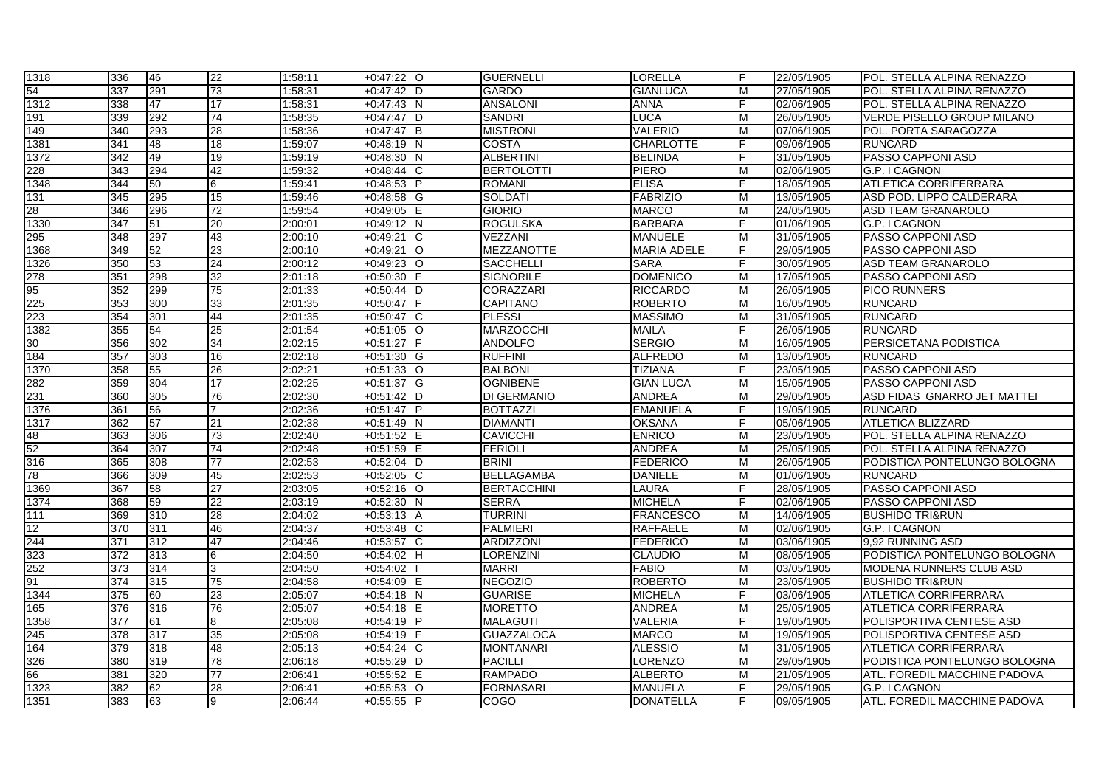| 1318 | 336              | 46  | 22              | 1:58:11 | $+0:47:22$ O      | <b>GUERNELLI</b>   | <b>LORELLA</b>     |   | 22/05/1905 | POL. STELLA ALPINA RENAZZO          |
|------|------------------|-----|-----------------|---------|-------------------|--------------------|--------------------|---|------------|-------------------------------------|
| 54   | 337              | 291 | 73              | 1:58:31 | $+0:47:42$ D      | <b>GARDO</b>       | <b>GIANLUCA</b>    | M | 27/05/1905 | POL. STELLA ALPINA RENAZZO          |
| 1312 | 338              | 47  | 17              | 1:58:31 | $+0.47:43$ N      | <b>ANSALONI</b>    | <b>ANNA</b>        |   | 02/06/1905 | IPOL. STELLA ALPINA RENAZZO         |
| 191  | 339              | 292 | 74              | 1:58:35 | $+0.47:47$ D      | <b>SANDRI</b>      | <b>LUCA</b>        | M | 26/05/1905 | <b>VERDE PISELLO GROUP MILANO</b>   |
| 149  | 340              | 293 | 28              | 1:58:36 | $+0:47:47$<br>Iв  | <b>MISTRONI</b>    | <b>VALERIO</b>     | M | 07/06/1905 | POL. PORTA SARAGOZZA                |
| 1381 | 341              | 48  | 18              | 1:59:07 | $+0:48:19$ N      | <b>COSTA</b>       | <b>CHARLOTTE</b>   |   | 09/06/1905 | <b>RUNCARD</b>                      |
| 1372 | $\overline{342}$ | 49  | 19              | 1:59:19 | $+0:48:30$<br>İΝ  | <b>ALBERTINI</b>   | <b>BELINDA</b>     |   | 31/05/1905 | PASSO CAPPONI ASD                   |
| 228  | 343              | 294 | 42              | 1:59:32 | $+0.48:44$ C      | <b>BERTOLOTTI</b>  | PIERO              | M | 02/06/1905 | G.P. I CAGNON                       |
| 1348 | 344              | 50  | 6               | 1:59:41 | $+0:48:53$ P      | <b>ROMANI</b>      | <b>ELISA</b>       |   | 18/05/1905 | <b>ATLETICA CORRIFERRARA</b>        |
| 131  | 345              | 295 | 15              | 1:59:46 | $+0.48:58$ G      | SOLDATI            | <b>FABRIZIO</b>    | M | 13/05/1905 | ASD POD. LIPPO CALDERARA            |
| 28   | 346              | 296 | 72              | 1:59:54 | $+0:49:05$ E      | <b>GIORIO</b>      | <b>MARCO</b>       | м | 24/05/1905 | <b>ASD TEAM GRANAROLO</b>           |
| 1330 | 347              | 51  | 20              | 2:00:01 | $+0:49:12$ N      | <b>ROGULSKA</b>    | <b>BARBARA</b>     |   | 01/06/1905 | G.P. I CAGNON                       |
| 295  | 348              | 297 | 43              | 2:00:10 | $+0.49:21$ C      | VEZZANI            | <b>MANUELE</b>     | M | 31/05/1905 | PASSO CAPPONI ASD                   |
| 1368 | 349              | 52  | 23              | 2:00:10 | $+0.49:21$<br>lO. | <b>MEZZANOTTE</b>  | <b>MARIA ADELE</b> |   | 29/05/1905 | PASSO CAPPONI ASD                   |
| 1326 | 350              | 53  | 24              | 2:00:12 | $+0.49:23$ O      | <b>SACCHELLI</b>   | <b>SARA</b>        |   | 30/05/1905 | <b>ASD TEAM GRANAROLO</b>           |
| 278  | 351              | 298 | 32              | 2:01:18 | $+0:50:30$        | <b>SIGNORILE</b>   | <b>DOMENICO</b>    | M | 17/05/1905 | PASSO CAPPONI ASD                   |
| 95   | 352              | 299 | 75              | 2:01:33 | $+0:50:44$ D      | CORAZZARI          | <b>RICCARDO</b>    | M | 26/05/1905 | <b>PICO RUNNERS</b>                 |
| 225  | 353              | 300 | 33              | 2:01:35 | $+0:50:47$        | <b>CAPITANO</b>    | <b>ROBERTO</b>     | M | 16/05/1905 | <b>RUNCARD</b>                      |
| 223  | 354              | 301 | 44              | 2:01:35 | $+0.50:47$ C      | <b>PLESSI</b>      | <b>MASSIMO</b>     | M | 31/05/1905 | <b>RUNCARD</b>                      |
| 1382 | 355              | 54  | 25              | 2:01:54 | $+0:51:05$ O      | <b>MARZOCCHI</b>   | MAILA              |   | 26/05/1905 | <b>RUNCARD</b>                      |
| 30   | 356              | 302 | 34              | 2:02:15 | $+0:51:27$        | <b>ANDOLFO</b>     | <b>SERGIO</b>      | м | 16/05/1905 | PERSICETANA PODISTICA               |
| 184  | 357              | 303 | 16              | 2:02:18 | $+0:51:30$ G      | <b>RUFFINI</b>     | <b>ALFREDO</b>     | M | 13/05/1905 | <b>RUNCARD</b>                      |
| 1370 | 358              | 55  | 26              | 2:02:21 | $+0.51:33$ O      | <b>BALBONI</b>     | <b>TIZIANA</b>     |   | 23/05/1905 | PASSO CAPPONI ASD                   |
| 282  | 359              | 304 | 17              | 2:02:25 | $+0:51:37$ G      | <b>OGNIBENE</b>    | <b>GIAN LUCA</b>   | M | 15/05/1905 | PASSO CAPPONI ASD                   |
| 231  | 360              | 305 | 76              | 2:02:30 | $+0:51:42$ D      | DI GERMANIO        | <b>ANDREA</b>      | M | 29/05/1905 | ASD FIDAS GNARRO JET MATTEI         |
| 1376 | 361              | 56  |                 | 2:02:36 | $+0.51:47$ P      | <b>BOTTAZZI</b>    | <b>EMANUELA</b>    |   | 19/05/1905 | <b>RUNCARD</b>                      |
| 1317 | 362              | 57  | 21              | 2:02:38 | $+0:51:49$ N      | DIAMANTI           | <b>OKSANA</b>      |   | 05/06/1905 | <b>ATLETICA BLIZZARD</b>            |
| 48   | 363              | 306 | 73              | 2:02:40 | $+0:51:52$ E      | <b>CAVICCHI</b>    | <b>ENRICO</b>      | M | 23/05/1905 | POL. STELLA ALPINA RENAZZO          |
| 52   | 364              | 307 | 74              | 2:02:48 | $+0:51:59$ E      | <b>FERIOLI</b>     | ANDREA             | м | 25/05/1905 | POL. STELLA ALPINA RENAZZO          |
| 316  | 365              | 308 | 77              | 2:02:53 | $+0:52:04$ D      | <b>BRINI</b>       | <b>FEDERICO</b>    | м | 26/05/1905 | PODISTICA PONTELUNGO BOLOGNA        |
| 78   | 366              | 309 | 45              | 2:02:53 | $+0:52:05$ C      | <b>BELLAGAMBA</b>  | <b>DANIELE</b>     | M | 01/06/1905 | <b>RUNCARD</b>                      |
| 1369 | 367              | 58  | 27              | 2:03:05 | $+0.52:16$ O      | <b>BERTACCHINI</b> | LAURA              |   | 28/05/1905 | PASSO CAPPONI ASD                   |
| 1374 | 368              | 59  | 22              | 2:03:19 | $+0:52:30$ N      | <b>SERRA</b>       | <b>MICHELA</b>     |   | 02/06/1905 | PASSO CAPPONI ASD                   |
| 111  | 369              | 310 | 28              | 2:04:02 | $+0:53:13$<br>ΙA  | <b>TURRINI</b>     | <b>FRANCESCO</b>   | M | 14/06/1905 | <b>BUSHIDO TRI&amp;RUN</b>          |
| 12   | 370              | 311 | 46              | 2:04:37 | $+0.53:48$ C      | <b>PALMIERI</b>    | <b>RAFFAELE</b>    | M | 02/06/1905 | G.P. I CAGNON                       |
| 244  | 371              | 312 | 47              | 2:04:46 | $+0:53:57$ C      | <b>ARDIZZONI</b>   | <b>FEDERICO</b>    | M | 03/06/1905 | 9,92 RUNNING ASD                    |
| 323  | 372              | 313 | $6\overline{6}$ | 2:04:50 | $+0:54:02$ H      | <b>LORENZINI</b>   | <b>CLAUDIO</b>     | M | 08/05/1905 | PODISTICA PONTELUNGO BOLOGNA        |
| 252  | 373              | 314 | 3               | 2:04:50 | $+0:54:02$        | <b>MARRI</b>       | <b>FABIO</b>       | м | 03/05/1905 | <b>MODENA RUNNERS CLUB ASD</b>      |
| 91   | 374              | 315 | 75              | 2:04:58 | $+0.54:09$ E      | <b>NEGOZIO</b>     | <b>ROBERTO</b>     | м | 23/05/1905 | <b>BUSHIDO TRI&amp;RUN</b>          |
| 1344 | 375              | 60  | 23              | 2:05:07 | $+0:54:18$ N      | <b>GUARISE</b>     | <b>MICHELA</b>     |   | 03/06/1905 | <b>ATLETICA CORRIFERRARA</b>        |
| 165  | 376              | 316 | 76              | 2:05:07 | $+0:54:18$ E      | <b>MORETTO</b>     | <b>ANDREA</b>      | M | 25/05/1905 | <b>ATLETICA CORRIFERRARA</b>        |
| 1358 | 377              | 61  | $\overline{8}$  | 2:05:08 | $+0:54:19$ P      | <b>MALAGUTI</b>    | <b>VALERIA</b>     |   | 19/05/1905 | POLISPORTIVA CENTESE ASD            |
| 245  | 378              | 317 | 35              | 2:05:08 | $+0:54:19$        | <b>GUAZZALOCA</b>  | <b>MARCO</b>       | M | 19/05/1905 | POLISPORTIVA CENTESE ASD            |
| 164  | 379              | 318 | 48              | 2:05:13 | $+0.54:24$ C      | <b>MONTANARI</b>   | <b>ALESSIO</b>     | M | 31/05/1905 | ATLETICA CORRIFERRARA               |
| 326  | 380              | 319 | 78              | 2:06:18 | $+0:55:29$ D      | <b>PACILLI</b>     | <b>LORENZO</b>     | M | 29/05/1905 | PODISTICA PONTELUNGO BOLOGNA        |
| 66   | 381              | 320 | $\overline{77}$ | 2:06:41 | $+0:55:52$ E      | <b>RAMPADO</b>     | <b>ALBERTO</b>     | M | 21/05/1905 | ATL. FOREDIL MACCHINE PADOVA        |
| 1323 | 382              | 62  | 28              | 2:06:41 | $+0:55:53$ O      | <b>FORNASARI</b>   | MANUELA            |   | 29/05/1905 | <b>G.P. I CAGNON</b>                |
| 1351 | 383              | 63  | 9               | 2:06:44 | $+0:55:55$ P      | <b>COGO</b>        | <b>DONATELLA</b>   |   | 09/05/1905 | <b>ATL. FOREDIL MACCHINE PADOVA</b> |